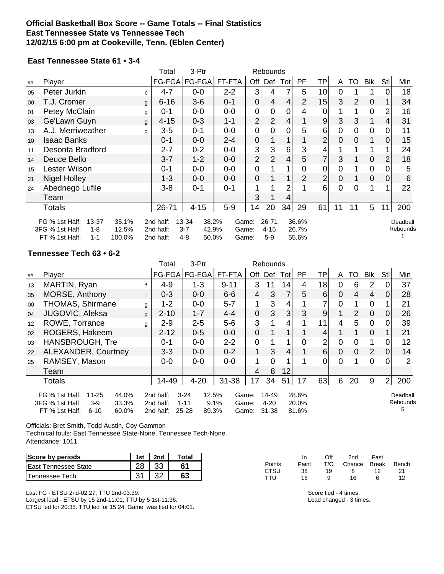### **Official Basketball Box Score -- Game Totals -- Final Statistics East Tennessee State vs Tennessee Tech 12/02/15 6:00 pm at Cookeville, Tenn. (Eblen Center)**

#### **East Tennessee State 61 • 3-4**

|        |                                                                                                   |              | Total                               | 3-Ptr                                                  |                         |                | Rebounds                       |      |                         |                 |    |                |                |                |                      |
|--------|---------------------------------------------------------------------------------------------------|--------------|-------------------------------------|--------------------------------------------------------|-------------------------|----------------|--------------------------------|------|-------------------------|-----------------|----|----------------|----------------|----------------|----------------------|
| ##     | Player                                                                                            |              |                                     | FG-FGA   FG-FGA                                        | FT-FTA                  | Off            | Def                            | Totl | PF.                     | TP              | A  | TO             | Blk            | Stl            | Min                  |
| 05     | Peter Jurkin                                                                                      | $\mathbf{C}$ | $4 - 7$                             | $0-0$                                                  | $2 - 2$                 | 3              | 4                              | 7    | 5                       | 10 <sup>1</sup> | 0  |                |                |                | 18                   |
| $00\,$ | T.J. Cromer                                                                                       | g            | $6 - 16$                            | $3-6$                                                  | $0 - 1$                 | 0              | 4                              | 4    | $\overline{2}$          | 15              | 3  | $\overline{2}$ | 0              |                | 34                   |
| 01     | Petey McClain                                                                                     | g            | $0 - 1$                             | $0-0$                                                  | $0-0$                   | 0              | 0                              | 0    | 4                       | 0               |    |                | $\mathbf 0$    | 2              | 16                   |
| 03     | Ge'Lawn Guyn                                                                                      | g            | $4 - 15$                            | $0 - 3$                                                | $1 - 1$                 | $\overline{2}$ | $\overline{2}$                 | 4    |                         | 9               | 3  | 3              | 1              | 4              | 31                   |
| 13     | A.J. Merriweather                                                                                 | g            | $3-5$                               | $0 - 1$                                                | $0-0$                   | 0              | 0                              | 0    | 5                       | 6               | 0  | 0              | $\mathbf 0$    | 0              | 11                   |
| 10     | <b>Isaac Banks</b>                                                                                |              | $0 - 1$                             | $0 - 0$                                                | $2 - 4$                 | 0              |                                |      |                         | $\overline{2}$  | 0  | 0              | 1              | $\Omega$       | 15                   |
| 11     | Desonta Bradford                                                                                  |              | $2 - 7$                             | $0 - 2$                                                | $0-0$                   | 3              | 3                              | 6    | 3                       |                 |    |                | 1              |                | 24                   |
| 14     | Deuce Bello                                                                                       |              | $3 - 7$                             | $1 - 2$                                                | $0-0$                   | $\overline{2}$ | $\overline{2}$                 | 4    | 5                       | 7               | 3  |                | $\mathbf 0$    | $\overline{2}$ | 18                   |
| 15     | Lester Wilson                                                                                     |              | 0-1                                 | $0-0$                                                  | $0-0$                   | 0              |                                |      | 0                       | 0               | 0  |                | $\mathbf 0$    |                | 5                    |
| 21     | <b>Nigel Holley</b>                                                                               |              | 1-3                                 | $0-0$                                                  | $0-0$                   | 0              |                                |      | $\overline{2}$          | 2               | 0  |                | $\overline{0}$ | 0              | 6                    |
| 24     | Abednego Lufile                                                                                   |              | $3 - 8$                             | $0 - 1$                                                | $0 - 1$                 |                |                                | 2    |                         | 6               | 0  | 0              |                |                | 22                   |
|        | Team                                                                                              |              |                                     |                                                        |                         | 3              |                                | 4    |                         |                 |    |                |                |                |                      |
|        | Totals                                                                                            | 26-71        | $4 - 15$                            | $5-9$                                                  | 14                      | 20             | 34                             | 29   | 61                      | 11              | 11 | 5              | 11             | 200            |                      |
|        | 13-37<br>35.1%<br>FG % 1st Half:<br>3FG % 1st Half:<br>$1 - 8$<br>FT % 1st Half:<br>100.0%<br>1-1 | 12.5%        | 2nd half:<br>2nd half:<br>2nd half: | 13-34<br>38.2%<br>$3 - 7$<br>42.9%<br>$4 - 8$<br>50.0% | Game:<br>Game:<br>Game: |                | $26 - 71$<br>$4 - 15$<br>$5-9$ |      | 36.6%<br>26.7%<br>55.6% |                 |    |                |                |                | Deadball<br>Rebounds |

### **Tennessee Tech 63 • 6-2**

|    |                                                                                                              |   | Total                               | 3-Ptr                                           |                                 |             |                                |                |                         |                |                |                 |                |                |                           |
|----|--------------------------------------------------------------------------------------------------------------|---|-------------------------------------|-------------------------------------------------|---------------------------------|-------------|--------------------------------|----------------|-------------------------|----------------|----------------|-----------------|----------------|----------------|---------------------------|
| ## | Player                                                                                                       |   | FG-FGA                              | FG-FGA                                          | FT-FTA                          | Off         | Def                            | Tot            | PF                      | TP             | A              | TO              | <b>Blk</b>     | Stl            | Min                       |
| 13 | MARTIN, Ryan                                                                                                 |   | $4 - 9$                             | $1 - 3$                                         | $9 - 11$                        | 3           | 11                             | 14             | 4                       | 18             | 0              | 6               | 2              |                | 37                        |
| 35 | MORSE, Anthony                                                                                               | f | $0 - 3$                             | $0 - 0$                                         | $6-6$                           | 4           | 3                              | 7              | 5                       | 6              | 0              | $\overline{4}$  | 4              | $\Omega$       | 28                        |
| 00 | <b>THOMAS, Shirmane</b>                                                                                      | g | $1 - 2$                             | $0-0$                                           | $5 - 7$                         | 1           | 3                              | 4              |                         |                | 0              | 1               | $\overline{0}$ |                | 21                        |
| 04 | JUGOVIC, Aleksa                                                                                              | g | $2 - 10$                            | $1 - 7$                                         | $4 - 4$                         | $\mathbf 0$ | 3                              | 3 <sup>1</sup> | 3                       | 9              |                | 2               | $\mathbf 0$    | $\overline{0}$ | 26                        |
| 12 | ROWE, Torrance                                                                                               | g | $2 - 9$                             | $2 - 5$                                         | $5-6$                           | 3           |                                | 4              |                         | 11             | 4              | $5\phantom{.0}$ | $\mathbf 0$    | 0              | 39                        |
| 02 | ROGERS, Hakeem                                                                                               |   | $2 - 12$                            | $0 - 5$                                         | $0-0$                           | $\mathbf 0$ |                                |                |                         | 4              |                |                 | $\mathbf 0$    |                | 21                        |
| 03 | <b>HANSBROUGH, Tre</b>                                                                                       |   | $0 - 1$                             | $0-0$                                           | $2 - 2$                         | $\mathbf 0$ |                                |                | 0                       | $\overline{2}$ | $\mathbf 0$    | 0               | 1              | 0              | 12                        |
| 22 | ALEXANDER, Courtney                                                                                          |   | $3 - 3$                             | $0-0$                                           | $0 - 2$                         | 1           | 3                              | 4              |                         | 6 <sup>1</sup> | $\overline{0}$ | $\overline{0}$  | $\overline{2}$ | 0              | 14                        |
| 25 | RAMSEY, Mason                                                                                                |   | $0-0$                               | $0-0$                                           | $0-0$                           | 1           | $\Omega$                       |                |                         | $\Omega$       | $\Omega$       |                 | $\Omega$       | $\Omega$       | 2                         |
|    | Team                                                                                                         |   |                                     |                                                 |                                 | 4           | 8                              | 12             |                         |                |                |                 |                |                |                           |
|    | Totals                                                                                                       |   | 14-49                               | $4 - 20$                                        | $31 - 38$                       | 17          | 34                             | 51             | 17                      | 63             | 6              | 20              | 9              | 2 <sub>1</sub> | 200                       |
|    | FG % 1st Half:<br>44.0%<br>11-25<br>3FG % 1st Half:<br>$3-9$<br>33.3%<br>FT % 1st Half:<br>60.0%<br>$6 - 10$ |   | 2nd half:<br>2nd half:<br>2nd half: | 12.5%<br>$3 - 24$<br>$1 - 11$<br>25-28<br>89.3% | Game:<br>9.1%<br>Game:<br>Game: |             | 14-49<br>$4 - 20$<br>$31 - 38$ |                | 28.6%<br>20.0%<br>81.6% |                |                |                 |                |                | Deadball<br>Rebounds<br>5 |

Officials: Bret Smith, Todd Austin, Coy Gammon

Technical fouls: East Tennessee State-None. Tennessee Tech-None. Attendance: 1011

| Score by periods      | 1st | 2nd | Total |
|-----------------------|-----|-----|-------|
| East Tennessee State  |     |     |       |
| <b>Tennessee Tech</b> |     |     |       |

Last FG - ETSU 2nd-02:27, TTU 2nd-03:39. Largest lead - ETSU by 15 2nd-11:01, TTU by 5 1st-11:36. ETSU led for 20:35. TTU led for 15:24. Game was tied for 04:01.

|        | In.   | Off | 2nd          | Fast |       |
|--------|-------|-----|--------------|------|-------|
| Points | Paint | T/O | Chance Break |      | Bench |
| ETSU   | 38    | 19  | 8            | 12   | 21    |
| TTU    | 18    | a   | 16           | ĥ    | 12    |

Score tied - 4 times. Lead changed - 3 times.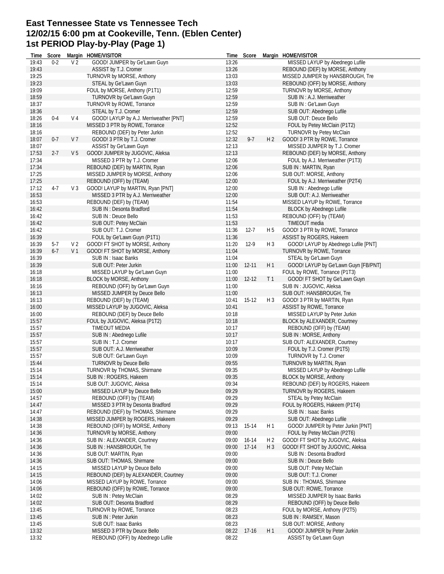# **East Tennessee State vs Tennessee Tech 12/02/15 6:00 pm at Cookeville, Tenn. (Eblen Center) 1st PERIOD Play-by-Play (Page 1)**

| Time           | Score   |                | Margin HOME/VISITOR                                      |                | Time Score |                | Margin HOME/VISITOR                                       |
|----------------|---------|----------------|----------------------------------------------------------|----------------|------------|----------------|-----------------------------------------------------------|
| 19:43          | $0 - 2$ | V <sub>2</sub> | GOOD! JUMPER by Ge'Lawn Guyn                             | 13:26          |            |                | MISSED LAYUP by Abednego Lufile                           |
| 19:43          |         |                | ASSIST by T.J. Cromer                                    | 13:26          |            |                | REBOUND (DEF) by MORSE, Anthony                           |
| 19:25          |         |                | TURNOVR by MORSE, Anthony                                | 13:03          |            |                | MISSED JUMPER by HANSBROUGH, Tre                          |
| 19:23          |         |                | STEAL by Ge'Lawn Guyn                                    | 13:03          |            |                | REBOUND (OFF) by MORSE, Anthony                           |
| 19:09          |         |                | FOUL by MORSE, Anthony (P1T1)<br>TURNOVR by Ge'Lawn Guyn | 12:59          |            |                | TURNOVR by MORSE, Anthony                                 |
| 18:59<br>18:37 |         |                | TURNOVR by ROWE, Torrance                                | 12:59<br>12:59 |            |                | SUB IN: A.J. Merriweather<br>SUB IN: Ge'Lawn Guyn         |
| 18:36          |         |                | STEAL by T.J. Cromer                                     | 12:59          |            |                | SUB OUT: Abednego Lufile                                  |
| 18:26          | $0 - 4$ | V <sub>4</sub> | GOOD! LAYUP by A.J. Merriweather [PNT]                   | 12:59          |            |                | SUB OUT: Deuce Bello                                      |
| 18:16          |         |                | MISSED 3 PTR by ROWE, Torrance                           | 12:52          |            |                | FOUL by Petey McClain (P1T2)                              |
| 18:16          |         |                | REBOUND (DEF) by Peter Jurkin                            | 12:52          |            |                | TURNOVR by Petey McClain                                  |
| 18:07          | $0 - 7$ | V 7            | GOOD! 3 PTR by T.J. Cromer                               | 12:32          | $9 - 7$    | H <sub>2</sub> | GOOD! 3 PTR by ROWE, Torrance                             |
| 18:07          |         |                | ASSIST by Ge'Lawn Guyn                                   | 12:13          |            |                | MISSED JUMPER by T.J. Cromer                              |
| 17:53          | $2 - 7$ | V <sub>5</sub> | GOOD! JUMPER by JUGOVIC, Aleksa                          | 12:13          |            |                | REBOUND (DEF) by MORSE, Anthony                           |
| 17:34          |         |                | MISSED 3 PTR by T.J. Cromer                              | 12:06          |            |                | FOUL by A.J. Merriweather (P1T3)                          |
| 17:34          |         |                | REBOUND (DEF) by MARTIN, Ryan                            | 12:06          |            |                | SUB IN: MARTIN, Ryan                                      |
| 17:25          |         |                | MISSED JUMPER by MORSE, Anthony                          | 12:06          |            |                | SUB OUT: MORSE, Anthony                                   |
| 17:25          |         |                | REBOUND (OFF) by (TEAM)                                  | 12:00          |            |                | FOUL by A.J. Merriweather (P2T4)                          |
| 17:12          | $4-7$   | V <sub>3</sub> | GOOD! LAYUP by MARTIN, Ryan [PNT]                        | 12:00          |            |                | SUB IN: Abednego Lufile                                   |
| 16:53          |         |                | MISSED 3 PTR by A.J. Merriweather                        | 12:00          |            |                | SUB OUT: A.J. Merriweather                                |
| 16:53          |         |                | REBOUND (DEF) by (TEAM)                                  | 11:54          |            |                | MISSED LAYUP by ROWE, Torrance                            |
| 16:42          |         |                | SUB IN: Desonta Bradford                                 | 11:54          |            |                | BLOCK by Abednego Lufile                                  |
| 16:42          |         |                | SUB IN : Deuce Bello                                     | 11:53          |            |                | REBOUND (OFF) by (TEAM)                                   |
| 16:42          |         |                | SUB OUT: Petey McClain<br>SUB OUT: T.J. Cromer           | 11:53<br>11:36 | $12 - 7$   | H <sub>5</sub> | TIMEOUT media                                             |
| 16:42<br>16:39 |         |                | FOUL by Ge'Lawn Guyn (P1T1)                              | 11:36          |            |                | GOOD! 3 PTR by ROWE, Torrance<br>ASSIST by ROGERS, Hakeem |
| 16:39          | $5-7$   | V 2            | GOOD! FT SHOT by MORSE, Anthony                          | 11:20          | $12-9$     | $H_3$          | GOOD! LAYUP by Abednego Lufile [PNT]                      |
| 16:39          | $6 - 7$ | V <sub>1</sub> | GOOD! FT SHOT by MORSE, Anthony                          | 11:04          |            |                | TURNOVR by ROWE, Torrance                                 |
| 16:39          |         |                | SUB IN: Isaac Banks                                      | 11:04          |            |                | STEAL by Ge'Lawn Guyn                                     |
| 16:39          |         |                | SUB OUT: Peter Jurkin                                    | 11:00          | $12 - 11$  | H1             | GOOD! LAYUP by Ge'Lawn Guyn [FB/PNT]                      |
| 16:18          |         |                | MISSED LAYUP by Ge'Lawn Guyn                             | 11:00          |            |                | FOUL by ROWE, Torrance (P1T3)                             |
| 16:18          |         |                | BLOCK by MORSE, Anthony                                  | 11:00          | 12-12      | T <sub>1</sub> | GOOD! FT SHOT by Ge'Lawn Guyn                             |
| 16:16          |         |                | REBOUND (OFF) by Ge'Lawn Guyn                            | 11:00          |            |                | SUB IN: JUGOVIC, Aleksa                                   |
| 16:13          |         |                | MISSED JUMPER by Deuce Bello                             | 11:00          |            |                | SUB OUT: HANSBROUGH, Tre                                  |
| 16:13          |         |                | REBOUND (DEF) by (TEAM)                                  | 10:41          | $15-12$    | $H_3$          | GOOD! 3 PTR by MARTIN, Ryan                               |
| 16:00          |         |                | MISSED LAYUP by JUGOVIC, Aleksa                          | 10:41          |            |                | ASSIST by ROWE, Torrance                                  |
| 16:00          |         |                | REBOUND (DEF) by Deuce Bello                             | 10:18          |            |                | MISSED LAYUP by Peter Jurkin                              |
| 15:57          |         |                | FOUL by JUGOVIC, Aleksa (P1T2)                           | 10:18          |            |                | BLOCK by ALEXANDER, Courtney                              |
| 15:57          |         |                | TIMEOUT MEDIA                                            | 10:17          |            |                | REBOUND (OFF) by (TEAM)                                   |
| 15:57          |         |                | SUB IN: Abednego Lufile                                  | 10:17          |            |                | SUB IN: MORSE, Anthony                                    |
| 15:57          |         |                | SUB IN : T.J. Cromer<br>SUB OUT: A.J. Merriweather       | 10:17          |            |                | SUB OUT: ALEXANDER, Courtney                              |
| 15:57<br>15:57 |         |                | SUB OUT: Ge'Lawn Guyn                                    | 10:09<br>10:09 |            |                | FOUL by T.J. Cromer (P1T5)<br>TURNOVR by T.J. Cromer      |
| 15:44          |         |                | <b>TURNOVR by Deuce Bello</b>                            | 09:55          |            |                | TURNOVR by MARTIN, Ryan                                   |
| 15:14          |         |                | TURNOVR by THOMAS, Shirmane                              | 09:35          |            |                | MISSED LAYUP by Abednego Lufile                           |
| 15:14          |         |                | SUB IN : ROGERS, Hakeem                                  | 09:35          |            |                | BLOCK by MORSE, Anthony                                   |
| 15:14          |         |                | SUB OUT: JUGOVIC, Aleksa                                 | 09:34          |            |                | REBOUND (DEF) by ROGERS, Hakeem                           |
| 15:00          |         |                | MISSED LAYUP by Deuce Bello                              | 09:29          |            |                | TURNOVR by ROGERS, Hakeem                                 |
| 14:57          |         |                | REBOUND (OFF) by (TEAM)                                  | 09:29          |            |                | STEAL by Petey McClain                                    |
| 14:47          |         |                | MISSED 3 PTR by Desonta Bradford                         | 09:29          |            |                | FOUL by ROGERS, Hakeem (P1T4)                             |
| 14:47          |         |                | REBOUND (DEF) by THOMAS, Shirmane                        | 09:29          |            |                | SUB IN: Isaac Banks                                       |
| 14:38          |         |                | MISSED JUMPER by ROGERS, Hakeem                          | 09:29          |            |                | SUB OUT: Abednego Lufile                                  |
| 14:38          |         |                | REBOUND (OFF) by MORSE, Anthony                          | 09:13          | 15-14      | H 1            | GOOD! JUMPER by Peter Jurkin [PNT]                        |
| 14:36          |         |                | TURNOVR by MORSE, Anthony                                | 09:00          |            |                | FOUL by Petey McClain (P2T6)                              |
| 14:36          |         |                | SUB IN: ALEXANDER, Courtney                              | 09:00          | 16-14      | H 2            | GOOD! FT SHOT by JUGOVIC, Aleksa                          |
| 14:36          |         |                | SUB IN : HANSBROUGH, Tre                                 | 09:00          | $17 - 14$  | $H_3$          | GOOD! FT SHOT by JUGOVIC, Aleksa                          |
| 14:36          |         |                | SUB OUT: MARTIN, Ryan                                    | 09:00          |            |                | SUB IN: Desonta Bradford                                  |
| 14:36<br>14:15 |         |                | SUB OUT: THOMAS, Shirmane<br>MISSED LAYUP by Deuce Bello | 09:00<br>09:00 |            |                | SUB IN : Deuce Bello<br>SUB OUT: Petey McClain            |
| 14:15          |         |                | REBOUND (DEF) by ALEXANDER, Courtney                     | 09:00          |            |                | SUB OUT: T.J. Cromer                                      |
| 14:06          |         |                | MISSED LAYUP by ROWE, Torrance                           | 09:00          |            |                | SUB IN: THOMAS, Shirmane                                  |
| 14:06          |         |                | REBOUND (OFF) by ROWE, Torrance                          | 09:00          |            |                | SUB OUT: ROWE, Torrance                                   |
| 14:02          |         |                | SUB IN : Petey McClain                                   | 08:29          |            |                | MISSED JUMPER by Isaac Banks                              |
| 14:02          |         |                | SUB OUT: Desonta Bradford                                | 08:29          |            |                | REBOUND (OFF) by Deuce Bello                              |
| 13:45          |         |                | TURNOVR by ROWE, Torrance                                | 08:23          |            |                | FOUL by MORSE, Anthony (P2T5)                             |
| 13:45          |         |                | SUB IN : Peter Jurkin                                    | 08:23          |            |                | SUB IN: RAMSEY, Mason                                     |
| 13:45          |         |                | SUB OUT: Isaac Banks                                     | 08:23          |            |                | SUB OUT: MORSE, Anthony                                   |
| 13:32          |         |                | MISSED 3 PTR by Deuce Bello                              | 08:22          | $17-16$    | H 1            | GOOD! JUMPER by Peter Jurkin                              |
| 13:32          |         |                | REBOUND (OFF) by Abednego Lufile                         | 08:22          |            |                | ASSIST by Ge'Lawn Guyn                                    |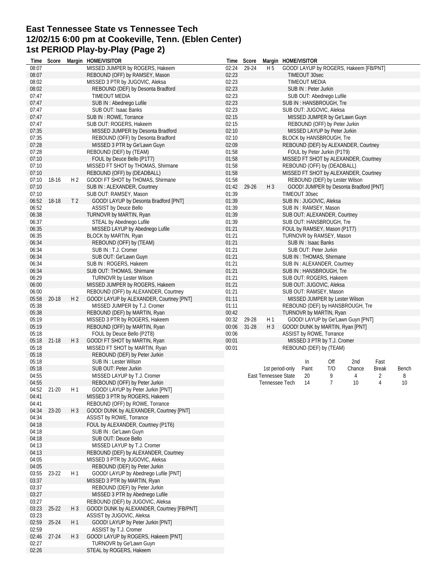# **East Tennessee State vs Tennessee Tech 12/02/15 6:00 pm at Cookeville, Tenn. (Eblen Center) 1st PERIOD Play-by-Play (Page 2)**

| Time  | Score     |                | Margin HOME/VISITOR                        | Time  | Score     |                      | Margin HOME/VISITOR |                        |                                 |                                        |                |       |
|-------|-----------|----------------|--------------------------------------------|-------|-----------|----------------------|---------------------|------------------------|---------------------------------|----------------------------------------|----------------|-------|
| 08:07 |           |                | MISSED JUMPER by ROGERS, Hakeem            | 02:24 | 29-24     | H 5                  |                     |                        |                                 | GOOD! LAYUP by ROGERS, Hakeem [FB/PNT] |                |       |
| 08:07 |           |                | REBOUND (OFF) by RAMSEY, Mason             | 02:23 |           |                      |                     | TIMEOUT 30sec          |                                 |                                        |                |       |
| 08:02 |           |                | MISSED 3 PTR by JUGOVIC, Aleksa            | 02:23 |           |                      |                     | <b>TIMEOUT MEDIA</b>   |                                 |                                        |                |       |
| 08:02 |           |                | REBOUND (DEF) by Desonta Bradford          | 02:23 |           |                      |                     | SUB IN : Peter Jurkin  |                                 |                                        |                |       |
| 07:47 |           |                | <b>TIMEOUT MEDIA</b>                       | 02:23 |           |                      |                     |                        | SUB OUT: Abednego Lufile        |                                        |                |       |
| 07:47 |           |                | SUB IN : Abednego Lufile                   | 02:23 |           |                      |                     |                        | SUB IN : HANSBROUGH, Tre        |                                        |                |       |
| 07:47 |           |                | SUB OUT: Isaac Banks                       | 02:23 |           |                      |                     |                        | SUB OUT: JUGOVIC, Aleksa        |                                        |                |       |
| 07:47 |           |                | SUB IN : ROWE, Torrance                    | 02:15 |           |                      |                     |                        |                                 | MISSED JUMPER by Ge'Lawn Guyn          |                |       |
| 07:47 |           |                | SUB OUT: ROGERS, Hakeem                    | 02:15 |           |                      |                     |                        | REBOUND (OFF) by Peter Jurkin   |                                        |                |       |
| 07:35 |           |                | MISSED JUMPER by Desonta Bradford          | 02:10 |           |                      |                     |                        | MISSED LAYUP by Peter Jurkin    |                                        |                |       |
| 07:35 |           |                | REBOUND (OFF) by Desonta Bradford          | 02:10 |           |                      |                     |                        | <b>BLOCK by HANSBROUGH, Tre</b> |                                        |                |       |
| 07:28 |           |                | MISSED 3 PTR by Ge'Lawn Guyn               | 02:09 |           |                      |                     |                        |                                 | REBOUND (DEF) by ALEXANDER, Courtney   |                |       |
| 07:28 |           |                | REBOUND (DEF) by (TEAM)                    | 01:58 |           |                      |                     |                        | FOUL by Peter Jurkin (P1T9)     |                                        |                |       |
| 07:10 |           |                | FOUL by Deuce Bello (P1T7)                 | 01:58 |           |                      |                     |                        |                                 | MISSED FT SHOT by ALEXANDER, Courtney  |                |       |
| 07:10 |           |                | MISSED FT SHOT by THOMAS, Shirmane         | 01:58 |           |                      |                     |                        | REBOUND (OFF) by (DEADBALL)     |                                        |                |       |
| 07:10 |           |                | REBOUND (OFF) by (DEADBALL)                | 01:58 |           |                      |                     |                        |                                 | MISSED FT SHOT by ALEXANDER, Courtney  |                |       |
| 07:10 | 18-16     | H <sub>2</sub> | GOOD! FT SHOT by THOMAS, Shirmane          | 01:58 |           |                      |                     |                        | REBOUND (DEF) by Lester Wilson  |                                        |                |       |
|       |           |                |                                            |       |           |                      |                     |                        |                                 |                                        |                |       |
| 07:10 |           |                | SUB IN: ALEXANDER, Courtney                | 01:42 | 29-26     | $H_3$                |                     |                        |                                 | GOOD! JUMPER by Desonta Bradford [PNT] |                |       |
| 07:10 |           |                | SUB OUT: RAMSEY, Mason                     | 01:39 |           |                      |                     | TIMEOUT 30sec          |                                 |                                        |                |       |
| 06:52 | 18-18     | T <sub>2</sub> | GOOD! LAYUP by Desonta Bradford [PNT]      | 01:39 |           |                      |                     |                        | SUB IN : JUGOVIC, Aleksa        |                                        |                |       |
| 06:52 |           |                | <b>ASSIST by Deuce Bello</b>               | 01:39 |           |                      |                     | SUB IN : RAMSEY, Mason |                                 |                                        |                |       |
| 06:38 |           |                | TURNOVR by MARTIN, Ryan                    | 01:39 |           |                      |                     |                        | SUB OUT: ALEXANDER, Courtney    |                                        |                |       |
| 06:37 |           |                | STEAL by Abednego Lufile                   | 01:39 |           |                      |                     |                        | SUB OUT: HANSBROUGH, Tre        |                                        |                |       |
| 06:35 |           |                | MISSED LAYUP by Abednego Lufile            | 01:21 |           |                      |                     |                        | FOUL by RAMSEY, Mason (P1T7)    |                                        |                |       |
| 06:35 |           |                | BLOCK by MARTIN, Ryan                      | 01:21 |           |                      |                     |                        | TURNOVR by RAMSEY, Mason        |                                        |                |       |
| 06:34 |           |                | REBOUND (OFF) by (TEAM)                    | 01:21 |           |                      |                     | SUB IN: Isaac Banks    |                                 |                                        |                |       |
| 06:34 |           |                | SUB IN: T.J. Cromer                        | 01:21 |           |                      |                     | SUB OUT: Peter Jurkin  |                                 |                                        |                |       |
| 06:34 |           |                | SUB OUT: Ge'Lawn Guyn                      | 01:21 |           |                      |                     |                        | SUB IN: THOMAS, Shirmane        |                                        |                |       |
| 06:34 |           |                | SUB IN: ROGERS, Hakeem                     | 01:21 |           |                      |                     |                        | SUB IN: ALEXANDER, Courtney     |                                        |                |       |
| 06:34 |           |                | SUB OUT: THOMAS, Shirmane                  | 01:21 |           |                      |                     |                        | SUB IN : HANSBROUGH, Tre        |                                        |                |       |
| 06:29 |           |                | <b>TURNOVR by Lester Wilson</b>            | 01:21 |           |                      |                     |                        | SUB OUT: ROGERS, Hakeem         |                                        |                |       |
| 06:00 |           |                | MISSED JUMPER by ROGERS, Hakeem            | 01:21 |           |                      |                     |                        | SUB OUT: JUGOVIC, Aleksa        |                                        |                |       |
| 06:00 |           |                | REBOUND (OFF) by ALEXANDER, Courtney       | 01:21 |           |                      |                     |                        | SUB OUT: RAMSEY, Mason          |                                        |                |       |
|       |           |                |                                            |       |           |                      |                     |                        |                                 |                                        |                |       |
| 05:58 | 20-18     | H <sub>2</sub> | GOOD! LAYUP by ALEXANDER, Courtney [PNT]   | 01:11 |           |                      |                     |                        | MISSED JUMPER by Lester Wilson  |                                        |                |       |
| 05:38 |           |                | MISSED JUMPER by T.J. Cromer               | 01:11 |           |                      |                     |                        |                                 | REBOUND (DEF) by HANSBROUGH, Tre       |                |       |
| 05:38 |           |                | REBOUND (DEF) by MARTIN, Ryan              | 00:42 |           |                      |                     |                        | TURNOVR by MARTIN, Ryan         |                                        |                |       |
| 05:19 |           |                | MISSED 3 PTR by ROGERS, Hakeem             | 00:32 | 29-28     | H1                   |                     |                        |                                 | GOOD! LAYUP by Ge'Lawn Guyn [PNT]      |                |       |
| 05:19 |           |                | REBOUND (OFF) by MARTIN, Ryan              | 00:06 | $31 - 28$ | $H_3$                |                     |                        |                                 | GOOD! DUNK by MARTIN, Ryan [PNT]       |                |       |
| 05:18 |           |                | FOUL by Deuce Bello (P2T8)                 | 00:06 |           |                      |                     |                        | ASSIST by ROWE, Torrance        |                                        |                |       |
| 05:18 | $21 - 18$ | $H_3$          | GOOD! FT SHOT by MARTIN, Ryan              | 00:01 |           |                      |                     |                        | MISSED 3 PTR by T.J. Cromer     |                                        |                |       |
| 05:18 |           |                | MISSED FT SHOT by MARTIN, Ryan             | 00:01 |           |                      |                     |                        | REBOUND (DEF) by (TEAM)         |                                        |                |       |
| 05:18 |           |                | REBOUND (DEF) by Peter Jurkin              |       |           |                      |                     |                        |                                 |                                        |                |       |
| 05:18 |           |                | SUB IN : Lester Wilson                     |       |           |                      |                     | In                     | Off                             | 2nd                                    | Fast           |       |
| 05:18 |           |                | SUB OUT: Peter Jurkin                      |       |           | 1st period-only      |                     | Paint                  | T/O                             | Chance                                 | <b>Break</b>   | Bench |
| 04:55 |           |                | MISSED LAYUP by T.J. Cromer                |       |           | East Tennessee State |                     | 20                     | 9                               | 4                                      | 2              | 8     |
| 04:55 |           |                | REBOUND (OFF) by Peter Jurkin              |       |           | Tennessee Tech       |                     | -14                    | 7                               | 10 <sup>°</sup>                        | $\overline{4}$ | 10    |
| 04:52 | $21 - 20$ | H1             | GOOD! LAYUP by Peter Jurkin [PNT]          |       |           |                      |                     |                        |                                 |                                        |                |       |
| 04:41 |           |                | MISSED 3 PTR by ROGERS, Hakeem             |       |           |                      |                     |                        |                                 |                                        |                |       |
| 04:41 |           |                | REBOUND (OFF) by ROWE, Torrance            |       |           |                      |                     |                        |                                 |                                        |                |       |
|       |           |                |                                            |       |           |                      |                     |                        |                                 |                                        |                |       |
| 04:34 | 23-20     | H3             | GOOD! DUNK by ALEXANDER, Courtney [PNT]    |       |           |                      |                     |                        |                                 |                                        |                |       |
| 04:34 |           |                | ASSIST by ROWE, Torrance                   |       |           |                      |                     |                        |                                 |                                        |                |       |
| 04:18 |           |                | FOUL by ALEXANDER, Courtney (P1T6)         |       |           |                      |                     |                        |                                 |                                        |                |       |
| 04:18 |           |                | SUB IN: Ge'Lawn Guyn                       |       |           |                      |                     |                        |                                 |                                        |                |       |
| 04:18 |           |                | SUB OUT: Deuce Bello                       |       |           |                      |                     |                        |                                 |                                        |                |       |
| 04:13 |           |                | MISSED LAYUP by T.J. Cromer                |       |           |                      |                     |                        |                                 |                                        |                |       |
| 04:13 |           |                | REBOUND (DEF) by ALEXANDER, Courtney       |       |           |                      |                     |                        |                                 |                                        |                |       |
| 04:05 |           |                | MISSED 3 PTR by JUGOVIC, Aleksa            |       |           |                      |                     |                        |                                 |                                        |                |       |
| 04:05 |           |                | REBOUND (DEF) by Peter Jurkin              |       |           |                      |                     |                        |                                 |                                        |                |       |
| 03:55 | 23-22     | H 1            | GOOD! LAYUP by Abednego Lufile [PNT]       |       |           |                      |                     |                        |                                 |                                        |                |       |
| 03:37 |           |                | MISSED 3 PTR by MARTIN, Ryan               |       |           |                      |                     |                        |                                 |                                        |                |       |
| 03:37 |           |                | REBOUND (DEF) by Peter Jurkin              |       |           |                      |                     |                        |                                 |                                        |                |       |
| 03:27 |           |                | MISSED 3 PTR by Abednego Lufile            |       |           |                      |                     |                        |                                 |                                        |                |       |
| 03:27 |           |                | REBOUND (DEF) by JUGOVIC, Aleksa           |       |           |                      |                     |                        |                                 |                                        |                |       |
| 03:23 | $25 - 22$ | $H_3$          | GOOD! DUNK by ALEXANDER, Courtney [FB/PNT] |       |           |                      |                     |                        |                                 |                                        |                |       |
| 03:23 |           |                | ASSIST by JUGOVIC, Aleksa                  |       |           |                      |                     |                        |                                 |                                        |                |       |
| 02:59 | $25 - 24$ | H1             | GOOD! LAYUP by Peter Jurkin [PNT]          |       |           |                      |                     |                        |                                 |                                        |                |       |
| 02:59 |           |                | ASSIST by T.J. Cromer                      |       |           |                      |                     |                        |                                 |                                        |                |       |
| 02:46 |           | $H_3$          | GOOD! LAYUP by ROGERS, Hakeem [PNT]        |       |           |                      |                     |                        |                                 |                                        |                |       |
|       | 27-24     |                |                                            |       |           |                      |                     |                        |                                 |                                        |                |       |
| 02:27 |           |                | TURNOVR by Ge'Lawn Guyn                    |       |           |                      |                     |                        |                                 |                                        |                |       |
| 02:26 |           |                | STEAL by ROGERS, Hakeem                    |       |           |                      |                     |                        |                                 |                                        |                |       |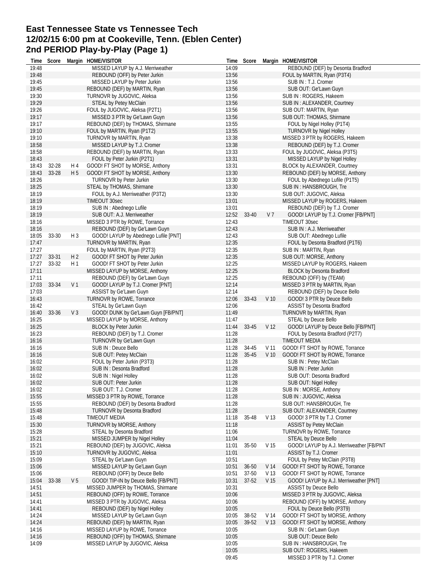# **East Tennessee State vs Tennessee Tech 12/02/15 6:00 pm at Cookeville, Tenn. (Eblen Center) 2nd PERIOD Play-by-Play (Page 1)**

| Time           | Score |                | Margin HOME/VISITOR                                                   | Time           | Score     |                 | Margin HOME/VISITOR                                           |
|----------------|-------|----------------|-----------------------------------------------------------------------|----------------|-----------|-----------------|---------------------------------------------------------------|
| 19:48          |       |                | MISSED LAYUP by A.J. Merriweather                                     | 14:09          |           |                 | REBOUND (DEF) by Desonta Bradford                             |
| 19:48          |       |                | REBOUND (OFF) by Peter Jurkin                                         | 13:56          |           |                 | FOUL by MARTIN, Ryan (P3T4)                                   |
| 19:45          |       |                | MISSED LAYUP by Peter Jurkin                                          | 13:56          |           |                 | SUB IN: T.J. Cromer                                           |
| 19:45          |       |                | REBOUND (DEF) by MARTIN, Ryan                                         | 13:56          |           |                 | SUB OUT: Ge'Lawn Guyn                                         |
| 19:30          |       |                | TURNOVR by JUGOVIC, Aleksa                                            | 13:56          |           |                 | SUB IN: ROGERS, Hakeem                                        |
| 19:29          |       |                | STEAL by Petey McClain                                                | 13:56          |           |                 | SUB IN: ALEXANDER, Courtney                                   |
| 19:26          |       |                | FOUL by JUGOVIC, Aleksa (P2T1)                                        | 13:56          |           |                 | SUB OUT: MARTIN, Ryan                                         |
| 19:17          |       |                | MISSED 3 PTR by Ge'Lawn Guyn                                          | 13:56          |           |                 | SUB OUT: THOMAS, Shirmane                                     |
| 19:17          |       |                | REBOUND (DEF) by THOMAS, Shirmane                                     | 13:55          |           |                 | FOUL by Nigel Holley (P1T4)                                   |
| 19:10          |       |                | FOUL by MARTIN, Ryan (P1T2)                                           | 13:55          |           |                 | <b>TURNOVR by Nigel Holley</b>                                |
| 19:10          |       |                | TURNOVR by MARTIN, Ryan                                               | 13:38          |           |                 | MISSED 3 PTR by ROGERS, Hakeem                                |
| 18:58          |       |                | MISSED LAYUP by T.J. Cromer                                           | 13:38          |           |                 | REBOUND (DEF) by T.J. Cromer                                  |
| 18:58          |       |                | REBOUND (DEF) by MARTIN, Ryan                                         | 13:33          |           |                 | FOUL by JUGOVIC, Aleksa (P3T5)                                |
| 18:43          |       |                | FOUL by Peter Jurkin (P2T1)                                           | 13:31          |           |                 | MISSED LAYUP by Nigel Holley                                  |
| 18:43          | 32-28 | H 4            | GOOD! FT SHOT by MORSE, Anthony                                       | 13:31          |           |                 | BLOCK by ALEXANDER, Courtney                                  |
| 18:43          | 33-28 | H 5            | GOOD! FT SHOT by MORSE, Anthony                                       | 13:30          |           |                 | REBOUND (DEF) by MORSE, Anthony                               |
| 18:26          |       |                | <b>TURNOVR by Peter Jurkin</b>                                        | 13:30          |           |                 | FOUL by Abednego Lufile (P1T5)                                |
| 18:25          |       |                | STEAL by THOMAS, Shirmane                                             | 13:30          |           |                 | SUB IN: HANSBROUGH, Tre                                       |
| 18:19          |       |                | FOUL by A.J. Merriweather (P3T2)                                      | 13:30          |           |                 | SUB OUT: JUGOVIC, Aleksa                                      |
| 18:19          |       |                | TIMEOUT 30sec                                                         | 13:01          |           |                 | MISSED LAYUP by ROGERS, Hakeem                                |
| 18:19          |       |                | SUB IN : Abednego Lufile                                              | 13:01          |           |                 | REBOUND (DEF) by T.J. Cromer                                  |
| 18:19          |       |                | SUB OUT: A.J. Merriweather                                            | 12:52          | 33-40     | V <sub>7</sub>  | GOOD! LAYUP by T.J. Cromer [FB/PNT]                           |
| 18:16          |       |                | MISSED 3 PTR by ROWE, Torrance                                        | 12:43          |           |                 | TIMEOUT 30sec                                                 |
| 18:16<br>18:05 | 33-30 | $H_3$          | REBOUND (DEF) by Ge'Lawn Guyn<br>GOOD! LAYUP by Abednego Lufile [PNT] | 12:43<br>12:43 |           |                 | SUB IN: A.J. Merriweather<br>SUB OUT: Abednego Lufile         |
| 17:47          |       |                | TURNOVR by MARTIN, Ryan                                               | 12:35          |           |                 |                                                               |
| 17:27          |       |                | FOUL by MARTIN, Ryan (P2T3)                                           | 12:35          |           |                 | FOUL by Desonta Bradford (P1T6)<br>SUB IN: MARTIN, Ryan       |
| 17:27          | 33-31 | H <sub>2</sub> | GOOD! FT SHOT by Peter Jurkin                                         | 12:35          |           |                 | SUB OUT: MORSE, Anthony                                       |
| 17:27          | 33-32 | H1             | GOOD! FT SHOT by Peter Jurkin                                         | 12:25          |           |                 | MISSED LAYUP by ROGERS, Hakeem                                |
| 17:11          |       |                | MISSED LAYUP by MORSE, Anthony                                        | 12:25          |           |                 | <b>BLOCK by Desonta Bradford</b>                              |
| 17:11          |       |                | REBOUND (DEF) by Ge'Lawn Guyn                                         | 12:25          |           |                 | REBOUND (OFF) by (TEAM)                                       |
| 17:03          | 33-34 | V <sub>1</sub> | GOOD! LAYUP by T.J. Cromer [PNT]                                      | 12:14          |           |                 | MISSED 3 PTR by MARTIN, Ryan                                  |
| 17:03          |       |                | ASSIST by Ge'Lawn Guyn                                                | 12:14          |           |                 | REBOUND (DEF) by Deuce Bello                                  |
| 16:43          |       |                | TURNOVR by ROWE, Torrance                                             | 12:06          | 33-43     | V <sub>10</sub> | GOOD! 3 PTR by Deuce Bello                                    |
| 16:42          |       |                | STEAL by Ge'Lawn Guyn                                                 | 12:06          |           |                 | <b>ASSIST by Desonta Bradford</b>                             |
| 16:40          | 33-36 | $V_3$          | GOOD! DUNK by Ge'Lawn Guyn [FB/PNT]                                   | 11:49          |           |                 | TURNOVR by MARTIN, Ryan                                       |
| 16:25          |       |                | MISSED LAYUP by MORSE, Anthony                                        | 11:47          |           |                 | <b>STEAL by Deuce Bello</b>                                   |
| 16:25          |       |                | <b>BLOCK by Peter Jurkin</b>                                          | 11:44          | 33-45     | V 12            | GOOD! LAYUP by Deuce Bello [FB/PNT]                           |
| 16:23          |       |                | REBOUND (DEF) by T.J. Cromer                                          | 11:28          |           |                 | FOUL by Desonta Bradford (P2T7)                               |
| 16:16          |       |                | TURNOVR by Ge'Lawn Guyn                                               | 11:28          |           |                 | <b>TIMEOUT MEDIA</b>                                          |
| 16:16          |       |                | SUB IN: Deuce Bello                                                   | 11:28          | 34-45     | V 11            | GOOD! FT SHOT by ROWE, Torrance                               |
| 16:16          |       |                | SUB OUT: Petey McClain                                                | 11:28          | 35-45     | V <sub>10</sub> | GOOD! FT SHOT by ROWE, Torrance                               |
| 16:02          |       |                | FOUL by Peter Jurkin (P3T3)                                           | 11:28          |           |                 | SUB IN : Petey McClain                                        |
| 16:02          |       |                | SUB IN: Desonta Bradford                                              | 11:28          |           |                 | SUB IN: Peter Jurkin                                          |
| 16:02          |       |                | SUB IN : Nigel Holley                                                 | 11:28          |           |                 | SUB OUT: Desonta Bradford                                     |
| 16:02          |       |                | SUB OUT: Peter Jurkin                                                 | 11:28          |           |                 | SUB OUT: Nigel Holley                                         |
| 16:02          |       |                | SUB OUT: T.J. Cromer                                                  | 11:28          |           |                 | SUB IN: MORSE, Anthony                                        |
| 15:55          |       |                | MISSED 3 PTR by ROWE, Torrance                                        | 11:28          |           |                 | SUB IN: JUGOVIC, Aleksa                                       |
| 15:55          |       |                | REBOUND (DEF) by Desonta Bradford                                     | 11:28          |           |                 | SUB OUT: HANSBROUGH, Tre                                      |
| 15:48          |       |                | <b>TURNOVR by Desonta Bradford</b>                                    | 11:28          |           |                 | SUB OUT: ALEXANDER, Courtney                                  |
| 15:48          |       |                | TIMEOUT MEDIA                                                         | 11:18          | 35-48     | V 13            | GOOD! 3 PTR by T.J. Cromer                                    |
| 15:30          |       |                | TURNOVR by MORSE, Anthony                                             | 11:18          |           |                 | <b>ASSIST by Petey McClain</b>                                |
| 15:28          |       |                | STEAL by Desonta Bradford                                             | 11:06          |           |                 | TURNOVR by ROWE, Torrance                                     |
| 15:21          |       |                | MISSED JUMPER by Nigel Holley                                         | 11:04          |           |                 | <b>STEAL by Deuce Bello</b>                                   |
| 15:21          |       |                | REBOUND (DEF) by JUGOVIC, Aleksa                                      | 11:01          | 35-50     | V 15            | GOOD! LAYUP by A.J. Merriweather [FB/PNT                      |
| 15:10          |       |                | TURNOVR by JUGOVIC, Aleksa                                            | 11:01          |           |                 | ASSIST by T.J. Cromer                                         |
| 15:09          |       |                | STEAL by Ge'Lawn Guyn                                                 | 10:51          |           |                 | FOUL by Petey McClain (P3T8)                                  |
| 15:06          |       |                | MISSED LAYUP by Ge'Lawn Guyn                                          | 10:51          | $36 - 50$ | V 14            | GOOD! FT SHOT by ROWE, Torrance                               |
| 15:06          |       |                | REBOUND (OFF) by Deuce Bello                                          | 10:51          | 37-50     | V 13            | GOOD! FT SHOT by ROWE, Torrance                               |
| 15:04          | 33-38 | V 5            | GOOD! TIP-IN by Deuce Bello [FB/PNT]                                  | 10:31          | $37-52$   | V <sub>15</sub> | GOOD! LAYUP by A.J. Merriweather [PNT]                        |
| 14:51          |       |                | MISSED JUMPER by THOMAS, Shirmane                                     | 10:31          |           |                 | <b>ASSIST by Deuce Bello</b>                                  |
| 14:51          |       |                | REBOUND (OFF) by ROWE, Torrance                                       | 10:06          |           |                 | MISSED 3 PTR by JUGOVIC, Aleksa                               |
| 14:41<br>14:41 |       |                | MISSED 3 PTR by JUGOVIC, Aleksa<br>REBOUND (DEF) by Nigel Holley      | 10:06<br>10:05 |           |                 | REBOUND (OFF) by MORSE, Anthony<br>FOUL by Deuce Bello (P3T9) |
| 14:24          |       |                | MISSED LAYUP by Ge'Lawn Guyn                                          | 10:05          | 38-52     | V 14            | GOOD! FT SHOT by MORSE, Anthony                               |
| 14:24          |       |                | REBOUND (DEF) by MARTIN, Ryan                                         | 10:05          | 39-52     | V <sub>13</sub> | GOOD! FT SHOT by MORSE, Anthony                               |
| 14:16          |       |                | MISSED LAYUP by ROWE, Torrance                                        | 10:05          |           |                 | SUB IN: Ge'Lawn Guyn                                          |
| 14:16          |       |                | REBOUND (OFF) by THOMAS, Shirmane                                     | 10:05          |           |                 | SUB OUT: Deuce Bello                                          |
| 14:09          |       |                | MISSED LAYUP by JUGOVIC, Aleksa                                       | 10:05          |           |                 | SUB IN : HANSBROUGH, Tre                                      |
|                |       |                |                                                                       | 10:05          |           |                 | SUB OUT: ROGERS, Hakeem                                       |
|                |       |                |                                                                       | 09:45          |           |                 | MISSED 3 PTR by T.J. Cromer                                   |
|                |       |                |                                                                       |                |           |                 |                                                               |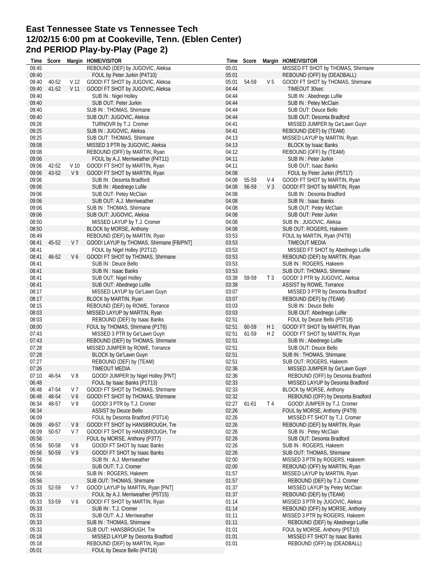# **East Tennessee State vs Tennessee Tech 12/02/15 6:00 pm at Cookeville, Tenn. (Eblen Center) 2nd PERIOD Play-by-Play (Page 2)**

| 09:40<br>FOUL by Peter Jurkin (P4T10)<br>05:01<br>REBOUND (OFF) by (DEADBALL)<br>40-52<br>GOOD! FT SHOT by JUGOVIC, Aleksa<br>05:01 54-59<br>V <sub>5</sub><br>GOOD! FT SHOT by THOMAS, Shirmane<br>09:40<br>V 12<br>04:44<br>09:40<br>41-52<br>V <sub>11</sub><br>GOOD! FT SHOT by JUGOVIC, Aleksa<br>TIMEOUT 30sec<br>09:40<br>SUB IN: Nigel Holley<br>04:44<br>SUB IN: Abednego Lufile<br>09:40<br>SUB OUT: Peter Jurkin<br>04:44<br>SUB IN : Petey McClain<br>04:44<br>09:40<br>SUB IN: THOMAS, Shirmane<br>SUB OUT: Deuce Bello<br>09:40<br>04:44<br>SUB OUT: Desonta Bradford<br>SUB OUT: JUGOVIC, Aleksa<br>09:26<br>04:41<br>TURNOVR by T.J. Cromer<br>MISSED JUMPER by Ge'Lawn Guyn<br>09:25<br>04:41<br>SUB IN: JUGOVIC, Aleksa<br>REBOUND (DEF) by (TEAM)<br>09:25<br>MISSED LAYUP by MARTIN, Ryan<br>SUB OUT: THOMAS, Shirmane<br>04:13<br>04:13<br>09:08<br>MISSED 3 PTR by JUGOVIC, Aleksa<br><b>BLOCK by Isaac Banks</b><br>09:08<br>04:12<br>REBOUND (OFF) by (TEAM)<br>REBOUND (OFF) by MARTIN, Ryan<br>09:06<br>FOUL by A.J. Merriweather (P4T11)<br>04:11<br>SUB IN : Peter Jurkin<br>09:06<br>42-52<br>V <sub>10</sub><br>GOOD! FT SHOT by MARTIN, Ryan<br>04:11<br>SUB OUT: Isaac Banks<br>43-52<br>04:08<br>09:06<br>V9<br>GOOD! FT SHOT by MARTIN, Ryan<br>FOUL by Peter Jurkin (P5T17)<br>09:06<br>SUB IN: Desonta Bradford<br>04:08<br>55-59<br>V 4<br>GOOD! FT SHOT by MARTIN, Ryan<br>09:06<br>04:08<br>56-59<br>$V_3$<br>SUB IN: Abednego Lufile<br>GOOD! FT SHOT by MARTIN, Ryan<br>09:06<br>04:08<br>SUB OUT: Petey McClain<br>SUB IN: Desonta Bradford<br>09:06<br>SUB OUT: A.J. Merriweather<br>04:08<br>SUB IN: Isaac Banks<br>09:06<br>SUB IN: THOMAS, Shirmane<br>04:08<br>SUB OUT: Petey McClain<br>04:08<br>09:06<br>SUB OUT: JUGOVIC, Aleksa<br>SUB OUT: Peter Jurkin<br>08:50<br>04:08<br>MISSED LAYUP by T.J. Cromer<br>SUB IN: JUGOVIC, Aleksa<br>08:50<br>BLOCK by MORSE, Anthony<br>04:08<br>SUB OUT: ROGERS, Hakeem<br>03:53<br>08:49<br>REBOUND (DEF) by MARTIN, Ryan<br>FOUL by MARTIN, Ryan (P4T8)<br>03:53<br>08:41<br>45-52<br>V 7<br>GOOD! LAYUP by THOMAS, Shirmane [FB/PNT]<br>TIMEOUT MEDIA<br>03:53<br>08:41<br>FOUL by Nigel Holley (P2T12)<br>MISSED FT SHOT by Abednego Lufile<br>03:53<br>46-52<br>V6<br>GOOD! FT SHOT by THOMAS, Shirmane<br>08:41<br>REBOUND (DEF) by MARTIN, Ryan<br>08:41<br>03:53<br>SUB IN : Deuce Bello<br>SUB IN: ROGERS, Hakeem<br>SUB IN: Isaac Banks<br>03:53<br>SUB OUT: THOMAS, Shirmane<br>08:41<br>08:41<br>SUB OUT: Nigel Holley<br>03:39<br>59-59<br>T <sub>3</sub><br>GOOD! 3 PTR by JUGOVIC, Aleksa<br>03:39<br>08:41<br>SUB OUT: Abednego Lufile<br>ASSIST by ROWE, Torrance<br>08:17<br>MISSED LAYUP by Ge'Lawn Guyn<br>03:07<br>MISSED 3 PTR by Desonta Bradford<br>03:07<br>08:17<br>BLOCK by MARTIN, Ryan<br>REBOUND (DEF) by (TEAM)<br>08:15<br>REBOUND (DEF) by ROWE, Torrance<br>03:03<br>SUB IN : Deuce Bello<br>03:03<br>08:03<br>SUB OUT: Abednego Lufile<br>MISSED LAYUP by MARTIN, Ryan<br>08:03<br>02:51<br>REBOUND (DEF) by Isaac Banks<br>FOUL by Deuce Bello (P5T18)<br>02:51<br>08:00<br>FOUL by THOMAS, Shirmane (P1T6)<br>60-59<br>H1<br>GOOD! FT SHOT by MARTIN, Ryan<br>07:43<br>MISSED 3 PTR by Ge'Lawn Guyn<br>02:51<br>61-59<br>H <sub>2</sub><br>GOOD! FT SHOT by MARTIN, Ryan<br>07:43<br>02:51<br>REBOUND (DEF) by THOMAS, Shirmane<br>SUB IN: Abednego Lufile<br>07:28<br>02:51<br>SUB OUT: Deuce Bello<br>MISSED JUMPER by ROWE, Torrance<br>07:28<br>BLOCK by Ge'Lawn Guyn<br>02:51<br>SUB IN: THOMAS, Shirmane<br>07:27<br>02:51<br>REBOUND (DEF) by (TEAM)<br>SUB OUT: ROGERS, Hakeem<br>07:26<br>02:36<br>TIMEOUT MEDIA<br>MISSED JUMPER by Ge'Lawn Guyn<br>02:36<br>07:10<br>46-54<br>V8<br>GOOD! JUMPER by Nigel Holley [PNT]<br>REBOUND (OFF) by Desonta Bradford<br>02:33<br>06:48<br>MISSED LAYUP by Desonta Bradford<br>FOUL by Isaac Banks (P1T13)<br>47-54<br>V <sub>7</sub><br>GOOD! FT SHOT by THOMAS, Shirmane<br>02:33<br>BLOCK by MORSE, Anthony<br>06:48<br>GOOD! FT SHOT by THOMAS, Shirmane<br>02:32<br>48-54<br>V6<br>REBOUND (OFF) by Desonta Bradford<br>06:48<br>06:34<br>48-57<br>V <sub>9</sub><br>GOOD! 3 PTR by T.J. Cromer<br>02:27 61-61<br>T <sub>4</sub><br>GOOD! JUMPER by T.J. Cromer<br>02:26<br>06:34<br><b>ASSIST by Deuce Bello</b><br>FOUL by MORSE, Anthony (P4T9)<br>06:09<br>FOUL by Desonta Bradford (P3T14)<br>02:26<br>MISSED FT SHOT by T.J. Cromer<br>06:09<br>GOOD! FT SHOT by HANSBROUGH, Tre<br>02:26<br>REBOUND (DEF) by MARTIN, Ryan<br>49-57<br>V8<br>06:09<br>50-57<br>V 7<br>GOOD! FT SHOT by HANSBROUGH, Tre<br>02:26<br>SUB IN: Petey McClain<br>05:56<br>FOUL by MORSE, Anthony (P3T7)<br>02:26<br>SUB OUT: Desonta Bradford<br>02:26<br>05:56<br>V8<br>GOOD! FT SHOT by Isaac Banks<br>50-58<br>SUB IN: ROGERS, Hakeem<br>02:26<br>05:56<br>50-59<br>V <sub>9</sub><br>GOOD! FT SHOT by Isaac Banks<br>SUB OUT: THOMAS, Shirmane<br>05:56<br>SUB IN: A.J. Merriweather<br>02:00<br>MISSED 3 PTR by ROGERS, Hakeem<br>05:56<br>02:00<br>SUB OUT: T.J. Cromer<br>REBOUND (OFF) by MARTIN, Ryan<br>05:56<br>SUB IN: ROGERS, Hakeem<br>01:57<br>MISSED LAYUP by MARTIN, Ryan<br>01:57<br>05:56<br>SUB OUT: THOMAS, Shirmane<br>REBOUND (DEF) by T.J. Cromer<br>01:37<br>MISSED LAYUP by Petey McClain<br>05:33<br>52-59<br>V 7<br>GOOD! LAYUP by MARTIN, Ryan [PNT]<br>05:33<br>01:37<br>FOUL by A.J. Merriweather (P5T15)<br>REBOUND (DEF) by (TEAM)<br>05:33<br>53-59<br>GOOD! FT SHOT by MARTIN, Ryan<br>01:14<br>MISSED 3 PTR by JUGOVIC, Aleksa<br>V 6<br>05:33<br>01:14<br>SUB IN: T.J. Cromer<br>REBOUND (OFF) by MORSE, Anthony<br>05:33<br>01:11<br>MISSED 3 PTR by ROGERS, Hakeem<br>SUB OUT: A.J. Merriweather<br>05:33<br>01:11<br>REBOUND (DEF) by Abednego Lufile<br>SUB IN: THOMAS, Shirmane<br>05:33<br>FOUL by MORSE, Anthony (P5T10)<br>SUB OUT: HANSBROUGH, Tre<br>01:01<br>05:18<br>MISSED FT SHOT by Isaac Banks<br>MISSED LAYUP by Desonta Bradford<br>01:01<br>05:18<br>REBOUND (DEF) by MARTIN, Ryan<br>01:01<br>REBOUND (OFF) by (DEADBALL) | Time  | Score | Margin HOME/VISITOR              |       | Time Score | Margin HOME/VISITOR                |
|--------------------------------------------------------------------------------------------------------------------------------------------------------------------------------------------------------------------------------------------------------------------------------------------------------------------------------------------------------------------------------------------------------------------------------------------------------------------------------------------------------------------------------------------------------------------------------------------------------------------------------------------------------------------------------------------------------------------------------------------------------------------------------------------------------------------------------------------------------------------------------------------------------------------------------------------------------------------------------------------------------------------------------------------------------------------------------------------------------------------------------------------------------------------------------------------------------------------------------------------------------------------------------------------------------------------------------------------------------------------------------------------------------------------------------------------------------------------------------------------------------------------------------------------------------------------------------------------------------------------------------------------------------------------------------------------------------------------------------------------------------------------------------------------------------------------------------------------------------------------------------------------------------------------------------------------------------------------------------------------------------------------------------------------------------------------------------------------------------------------------------------------------------------------------------------------------------------------------------------------------------------------------------------------------------------------------------------------------------------------------------------------------------------------------------------------------------------------------------------------------------------------------------------------------------------------------------------------------------------------------------------------------------------------------------------------------------------------------------------------------------------------------------------------------------------------------------------------------------------------------------------------------------------------------------------------------------------------------------------------------------------------------------------------------------------------------------------------------------------------------------------------------------------------------------------------------------------------------------------------------------------------------------------------------------------------------------------------------------------------------------------------------------------------------------------------------------------------------------------------------------------------------------------------------------------------------------------------------------------------------------------------------------------------------------------------------------------------------------------------------------------------------------------------------------------------------------------------------------------------------------------------------------------------------------------------------------------------------------------------------------------------------------------------------------------------------------------------------------------------------------------------------------------------------------------------------------------------------------------------------------------------------------------------------------------------------------------------------------------------------------------------------------------------------------------------------------------------------------------------------------------------------------------------------------------------------------------------------------------------------------------------------------------------------------------------------------------------------------------------------------------------------------------------------------------------------------------------------------------------------------------------------------------------------------------------------------------------------------------------------------------------------------------------------------------------------------------------------------------------------------------------------------------------------------------------------------------------------------------------------------------------------------------------------------------------------------------------------------------------------------------------------------------------------------------------------------------------------------------------------------------------------------------------------------------------------------------------------------------------------------------------------------------------------------------------------------------------------------------------------------------------------------------------------------------------------------------------------------------------------------------------------------------------------------------------------------------------------------------------------------------------------------------------------------|-------|-------|----------------------------------|-------|------------|------------------------------------|
|                                                                                                                                                                                                                                                                                                                                                                                                                                                                                                                                                                                                                                                                                                                                                                                                                                                                                                                                                                                                                                                                                                                                                                                                                                                                                                                                                                                                                                                                                                                                                                                                                                                                                                                                                                                                                                                                                                                                                                                                                                                                                                                                                                                                                                                                                                                                                                                                                                                                                                                                                                                                                                                                                                                                                                                                                                                                                                                                                                                                                                                                                                                                                                                                                                                                                                                                                                                                                                                                                                                                                                                                                                                                                                                                                                                                                                                                                                                                                                                                                                                                                                                                                                                                                                                                                                                                                                                                                                                                                                                                                                                                                                                                                                                                                                                                                                                                                                                                                                                                                                                                                                                                                                                                                                                                                                                                                                                                                                                                                                                                                                                                                                                                                                                                                                                                                                                                                                                                                                                                                                                        | 09:45 |       | REBOUND (DEF) by JUGOVIC, Aleksa | 05:01 |            | MISSED FT SHOT by THOMAS, Shirmane |
|                                                                                                                                                                                                                                                                                                                                                                                                                                                                                                                                                                                                                                                                                                                                                                                                                                                                                                                                                                                                                                                                                                                                                                                                                                                                                                                                                                                                                                                                                                                                                                                                                                                                                                                                                                                                                                                                                                                                                                                                                                                                                                                                                                                                                                                                                                                                                                                                                                                                                                                                                                                                                                                                                                                                                                                                                                                                                                                                                                                                                                                                                                                                                                                                                                                                                                                                                                                                                                                                                                                                                                                                                                                                                                                                                                                                                                                                                                                                                                                                                                                                                                                                                                                                                                                                                                                                                                                                                                                                                                                                                                                                                                                                                                                                                                                                                                                                                                                                                                                                                                                                                                                                                                                                                                                                                                                                                                                                                                                                                                                                                                                                                                                                                                                                                                                                                                                                                                                                                                                                                                                        |       |       |                                  |       |            |                                    |
|                                                                                                                                                                                                                                                                                                                                                                                                                                                                                                                                                                                                                                                                                                                                                                                                                                                                                                                                                                                                                                                                                                                                                                                                                                                                                                                                                                                                                                                                                                                                                                                                                                                                                                                                                                                                                                                                                                                                                                                                                                                                                                                                                                                                                                                                                                                                                                                                                                                                                                                                                                                                                                                                                                                                                                                                                                                                                                                                                                                                                                                                                                                                                                                                                                                                                                                                                                                                                                                                                                                                                                                                                                                                                                                                                                                                                                                                                                                                                                                                                                                                                                                                                                                                                                                                                                                                                                                                                                                                                                                                                                                                                                                                                                                                                                                                                                                                                                                                                                                                                                                                                                                                                                                                                                                                                                                                                                                                                                                                                                                                                                                                                                                                                                                                                                                                                                                                                                                                                                                                                                                        |       |       |                                  |       |            |                                    |
|                                                                                                                                                                                                                                                                                                                                                                                                                                                                                                                                                                                                                                                                                                                                                                                                                                                                                                                                                                                                                                                                                                                                                                                                                                                                                                                                                                                                                                                                                                                                                                                                                                                                                                                                                                                                                                                                                                                                                                                                                                                                                                                                                                                                                                                                                                                                                                                                                                                                                                                                                                                                                                                                                                                                                                                                                                                                                                                                                                                                                                                                                                                                                                                                                                                                                                                                                                                                                                                                                                                                                                                                                                                                                                                                                                                                                                                                                                                                                                                                                                                                                                                                                                                                                                                                                                                                                                                                                                                                                                                                                                                                                                                                                                                                                                                                                                                                                                                                                                                                                                                                                                                                                                                                                                                                                                                                                                                                                                                                                                                                                                                                                                                                                                                                                                                                                                                                                                                                                                                                                                                        |       |       |                                  |       |            |                                    |
|                                                                                                                                                                                                                                                                                                                                                                                                                                                                                                                                                                                                                                                                                                                                                                                                                                                                                                                                                                                                                                                                                                                                                                                                                                                                                                                                                                                                                                                                                                                                                                                                                                                                                                                                                                                                                                                                                                                                                                                                                                                                                                                                                                                                                                                                                                                                                                                                                                                                                                                                                                                                                                                                                                                                                                                                                                                                                                                                                                                                                                                                                                                                                                                                                                                                                                                                                                                                                                                                                                                                                                                                                                                                                                                                                                                                                                                                                                                                                                                                                                                                                                                                                                                                                                                                                                                                                                                                                                                                                                                                                                                                                                                                                                                                                                                                                                                                                                                                                                                                                                                                                                                                                                                                                                                                                                                                                                                                                                                                                                                                                                                                                                                                                                                                                                                                                                                                                                                                                                                                                                                        |       |       |                                  |       |            |                                    |
|                                                                                                                                                                                                                                                                                                                                                                                                                                                                                                                                                                                                                                                                                                                                                                                                                                                                                                                                                                                                                                                                                                                                                                                                                                                                                                                                                                                                                                                                                                                                                                                                                                                                                                                                                                                                                                                                                                                                                                                                                                                                                                                                                                                                                                                                                                                                                                                                                                                                                                                                                                                                                                                                                                                                                                                                                                                                                                                                                                                                                                                                                                                                                                                                                                                                                                                                                                                                                                                                                                                                                                                                                                                                                                                                                                                                                                                                                                                                                                                                                                                                                                                                                                                                                                                                                                                                                                                                                                                                                                                                                                                                                                                                                                                                                                                                                                                                                                                                                                                                                                                                                                                                                                                                                                                                                                                                                                                                                                                                                                                                                                                                                                                                                                                                                                                                                                                                                                                                                                                                                                                        |       |       |                                  |       |            |                                    |
|                                                                                                                                                                                                                                                                                                                                                                                                                                                                                                                                                                                                                                                                                                                                                                                                                                                                                                                                                                                                                                                                                                                                                                                                                                                                                                                                                                                                                                                                                                                                                                                                                                                                                                                                                                                                                                                                                                                                                                                                                                                                                                                                                                                                                                                                                                                                                                                                                                                                                                                                                                                                                                                                                                                                                                                                                                                                                                                                                                                                                                                                                                                                                                                                                                                                                                                                                                                                                                                                                                                                                                                                                                                                                                                                                                                                                                                                                                                                                                                                                                                                                                                                                                                                                                                                                                                                                                                                                                                                                                                                                                                                                                                                                                                                                                                                                                                                                                                                                                                                                                                                                                                                                                                                                                                                                                                                                                                                                                                                                                                                                                                                                                                                                                                                                                                                                                                                                                                                                                                                                                                        |       |       |                                  |       |            |                                    |
|                                                                                                                                                                                                                                                                                                                                                                                                                                                                                                                                                                                                                                                                                                                                                                                                                                                                                                                                                                                                                                                                                                                                                                                                                                                                                                                                                                                                                                                                                                                                                                                                                                                                                                                                                                                                                                                                                                                                                                                                                                                                                                                                                                                                                                                                                                                                                                                                                                                                                                                                                                                                                                                                                                                                                                                                                                                                                                                                                                                                                                                                                                                                                                                                                                                                                                                                                                                                                                                                                                                                                                                                                                                                                                                                                                                                                                                                                                                                                                                                                                                                                                                                                                                                                                                                                                                                                                                                                                                                                                                                                                                                                                                                                                                                                                                                                                                                                                                                                                                                                                                                                                                                                                                                                                                                                                                                                                                                                                                                                                                                                                                                                                                                                                                                                                                                                                                                                                                                                                                                                                                        |       |       |                                  |       |            |                                    |
|                                                                                                                                                                                                                                                                                                                                                                                                                                                                                                                                                                                                                                                                                                                                                                                                                                                                                                                                                                                                                                                                                                                                                                                                                                                                                                                                                                                                                                                                                                                                                                                                                                                                                                                                                                                                                                                                                                                                                                                                                                                                                                                                                                                                                                                                                                                                                                                                                                                                                                                                                                                                                                                                                                                                                                                                                                                                                                                                                                                                                                                                                                                                                                                                                                                                                                                                                                                                                                                                                                                                                                                                                                                                                                                                                                                                                                                                                                                                                                                                                                                                                                                                                                                                                                                                                                                                                                                                                                                                                                                                                                                                                                                                                                                                                                                                                                                                                                                                                                                                                                                                                                                                                                                                                                                                                                                                                                                                                                                                                                                                                                                                                                                                                                                                                                                                                                                                                                                                                                                                                                                        |       |       |                                  |       |            |                                    |
|                                                                                                                                                                                                                                                                                                                                                                                                                                                                                                                                                                                                                                                                                                                                                                                                                                                                                                                                                                                                                                                                                                                                                                                                                                                                                                                                                                                                                                                                                                                                                                                                                                                                                                                                                                                                                                                                                                                                                                                                                                                                                                                                                                                                                                                                                                                                                                                                                                                                                                                                                                                                                                                                                                                                                                                                                                                                                                                                                                                                                                                                                                                                                                                                                                                                                                                                                                                                                                                                                                                                                                                                                                                                                                                                                                                                                                                                                                                                                                                                                                                                                                                                                                                                                                                                                                                                                                                                                                                                                                                                                                                                                                                                                                                                                                                                                                                                                                                                                                                                                                                                                                                                                                                                                                                                                                                                                                                                                                                                                                                                                                                                                                                                                                                                                                                                                                                                                                                                                                                                                                                        |       |       |                                  |       |            |                                    |
|                                                                                                                                                                                                                                                                                                                                                                                                                                                                                                                                                                                                                                                                                                                                                                                                                                                                                                                                                                                                                                                                                                                                                                                                                                                                                                                                                                                                                                                                                                                                                                                                                                                                                                                                                                                                                                                                                                                                                                                                                                                                                                                                                                                                                                                                                                                                                                                                                                                                                                                                                                                                                                                                                                                                                                                                                                                                                                                                                                                                                                                                                                                                                                                                                                                                                                                                                                                                                                                                                                                                                                                                                                                                                                                                                                                                                                                                                                                                                                                                                                                                                                                                                                                                                                                                                                                                                                                                                                                                                                                                                                                                                                                                                                                                                                                                                                                                                                                                                                                                                                                                                                                                                                                                                                                                                                                                                                                                                                                                                                                                                                                                                                                                                                                                                                                                                                                                                                                                                                                                                                                        |       |       |                                  |       |            |                                    |
|                                                                                                                                                                                                                                                                                                                                                                                                                                                                                                                                                                                                                                                                                                                                                                                                                                                                                                                                                                                                                                                                                                                                                                                                                                                                                                                                                                                                                                                                                                                                                                                                                                                                                                                                                                                                                                                                                                                                                                                                                                                                                                                                                                                                                                                                                                                                                                                                                                                                                                                                                                                                                                                                                                                                                                                                                                                                                                                                                                                                                                                                                                                                                                                                                                                                                                                                                                                                                                                                                                                                                                                                                                                                                                                                                                                                                                                                                                                                                                                                                                                                                                                                                                                                                                                                                                                                                                                                                                                                                                                                                                                                                                                                                                                                                                                                                                                                                                                                                                                                                                                                                                                                                                                                                                                                                                                                                                                                                                                                                                                                                                                                                                                                                                                                                                                                                                                                                                                                                                                                                                                        |       |       |                                  |       |            |                                    |
|                                                                                                                                                                                                                                                                                                                                                                                                                                                                                                                                                                                                                                                                                                                                                                                                                                                                                                                                                                                                                                                                                                                                                                                                                                                                                                                                                                                                                                                                                                                                                                                                                                                                                                                                                                                                                                                                                                                                                                                                                                                                                                                                                                                                                                                                                                                                                                                                                                                                                                                                                                                                                                                                                                                                                                                                                                                                                                                                                                                                                                                                                                                                                                                                                                                                                                                                                                                                                                                                                                                                                                                                                                                                                                                                                                                                                                                                                                                                                                                                                                                                                                                                                                                                                                                                                                                                                                                                                                                                                                                                                                                                                                                                                                                                                                                                                                                                                                                                                                                                                                                                                                                                                                                                                                                                                                                                                                                                                                                                                                                                                                                                                                                                                                                                                                                                                                                                                                                                                                                                                                                        |       |       |                                  |       |            |                                    |
|                                                                                                                                                                                                                                                                                                                                                                                                                                                                                                                                                                                                                                                                                                                                                                                                                                                                                                                                                                                                                                                                                                                                                                                                                                                                                                                                                                                                                                                                                                                                                                                                                                                                                                                                                                                                                                                                                                                                                                                                                                                                                                                                                                                                                                                                                                                                                                                                                                                                                                                                                                                                                                                                                                                                                                                                                                                                                                                                                                                                                                                                                                                                                                                                                                                                                                                                                                                                                                                                                                                                                                                                                                                                                                                                                                                                                                                                                                                                                                                                                                                                                                                                                                                                                                                                                                                                                                                                                                                                                                                                                                                                                                                                                                                                                                                                                                                                                                                                                                                                                                                                                                                                                                                                                                                                                                                                                                                                                                                                                                                                                                                                                                                                                                                                                                                                                                                                                                                                                                                                                                                        |       |       |                                  |       |            |                                    |
|                                                                                                                                                                                                                                                                                                                                                                                                                                                                                                                                                                                                                                                                                                                                                                                                                                                                                                                                                                                                                                                                                                                                                                                                                                                                                                                                                                                                                                                                                                                                                                                                                                                                                                                                                                                                                                                                                                                                                                                                                                                                                                                                                                                                                                                                                                                                                                                                                                                                                                                                                                                                                                                                                                                                                                                                                                                                                                                                                                                                                                                                                                                                                                                                                                                                                                                                                                                                                                                                                                                                                                                                                                                                                                                                                                                                                                                                                                                                                                                                                                                                                                                                                                                                                                                                                                                                                                                                                                                                                                                                                                                                                                                                                                                                                                                                                                                                                                                                                                                                                                                                                                                                                                                                                                                                                                                                                                                                                                                                                                                                                                                                                                                                                                                                                                                                                                                                                                                                                                                                                                                        |       |       |                                  |       |            |                                    |
|                                                                                                                                                                                                                                                                                                                                                                                                                                                                                                                                                                                                                                                                                                                                                                                                                                                                                                                                                                                                                                                                                                                                                                                                                                                                                                                                                                                                                                                                                                                                                                                                                                                                                                                                                                                                                                                                                                                                                                                                                                                                                                                                                                                                                                                                                                                                                                                                                                                                                                                                                                                                                                                                                                                                                                                                                                                                                                                                                                                                                                                                                                                                                                                                                                                                                                                                                                                                                                                                                                                                                                                                                                                                                                                                                                                                                                                                                                                                                                                                                                                                                                                                                                                                                                                                                                                                                                                                                                                                                                                                                                                                                                                                                                                                                                                                                                                                                                                                                                                                                                                                                                                                                                                                                                                                                                                                                                                                                                                                                                                                                                                                                                                                                                                                                                                                                                                                                                                                                                                                                                                        |       |       |                                  |       |            |                                    |
|                                                                                                                                                                                                                                                                                                                                                                                                                                                                                                                                                                                                                                                                                                                                                                                                                                                                                                                                                                                                                                                                                                                                                                                                                                                                                                                                                                                                                                                                                                                                                                                                                                                                                                                                                                                                                                                                                                                                                                                                                                                                                                                                                                                                                                                                                                                                                                                                                                                                                                                                                                                                                                                                                                                                                                                                                                                                                                                                                                                                                                                                                                                                                                                                                                                                                                                                                                                                                                                                                                                                                                                                                                                                                                                                                                                                                                                                                                                                                                                                                                                                                                                                                                                                                                                                                                                                                                                                                                                                                                                                                                                                                                                                                                                                                                                                                                                                                                                                                                                                                                                                                                                                                                                                                                                                                                                                                                                                                                                                                                                                                                                                                                                                                                                                                                                                                                                                                                                                                                                                                                                        |       |       |                                  |       |            |                                    |
|                                                                                                                                                                                                                                                                                                                                                                                                                                                                                                                                                                                                                                                                                                                                                                                                                                                                                                                                                                                                                                                                                                                                                                                                                                                                                                                                                                                                                                                                                                                                                                                                                                                                                                                                                                                                                                                                                                                                                                                                                                                                                                                                                                                                                                                                                                                                                                                                                                                                                                                                                                                                                                                                                                                                                                                                                                                                                                                                                                                                                                                                                                                                                                                                                                                                                                                                                                                                                                                                                                                                                                                                                                                                                                                                                                                                                                                                                                                                                                                                                                                                                                                                                                                                                                                                                                                                                                                                                                                                                                                                                                                                                                                                                                                                                                                                                                                                                                                                                                                                                                                                                                                                                                                                                                                                                                                                                                                                                                                                                                                                                                                                                                                                                                                                                                                                                                                                                                                                                                                                                                                        |       |       |                                  |       |            |                                    |
|                                                                                                                                                                                                                                                                                                                                                                                                                                                                                                                                                                                                                                                                                                                                                                                                                                                                                                                                                                                                                                                                                                                                                                                                                                                                                                                                                                                                                                                                                                                                                                                                                                                                                                                                                                                                                                                                                                                                                                                                                                                                                                                                                                                                                                                                                                                                                                                                                                                                                                                                                                                                                                                                                                                                                                                                                                                                                                                                                                                                                                                                                                                                                                                                                                                                                                                                                                                                                                                                                                                                                                                                                                                                                                                                                                                                                                                                                                                                                                                                                                                                                                                                                                                                                                                                                                                                                                                                                                                                                                                                                                                                                                                                                                                                                                                                                                                                                                                                                                                                                                                                                                                                                                                                                                                                                                                                                                                                                                                                                                                                                                                                                                                                                                                                                                                                                                                                                                                                                                                                                                                        |       |       |                                  |       |            |                                    |
|                                                                                                                                                                                                                                                                                                                                                                                                                                                                                                                                                                                                                                                                                                                                                                                                                                                                                                                                                                                                                                                                                                                                                                                                                                                                                                                                                                                                                                                                                                                                                                                                                                                                                                                                                                                                                                                                                                                                                                                                                                                                                                                                                                                                                                                                                                                                                                                                                                                                                                                                                                                                                                                                                                                                                                                                                                                                                                                                                                                                                                                                                                                                                                                                                                                                                                                                                                                                                                                                                                                                                                                                                                                                                                                                                                                                                                                                                                                                                                                                                                                                                                                                                                                                                                                                                                                                                                                                                                                                                                                                                                                                                                                                                                                                                                                                                                                                                                                                                                                                                                                                                                                                                                                                                                                                                                                                                                                                                                                                                                                                                                                                                                                                                                                                                                                                                                                                                                                                                                                                                                                        |       |       |                                  |       |            |                                    |
|                                                                                                                                                                                                                                                                                                                                                                                                                                                                                                                                                                                                                                                                                                                                                                                                                                                                                                                                                                                                                                                                                                                                                                                                                                                                                                                                                                                                                                                                                                                                                                                                                                                                                                                                                                                                                                                                                                                                                                                                                                                                                                                                                                                                                                                                                                                                                                                                                                                                                                                                                                                                                                                                                                                                                                                                                                                                                                                                                                                                                                                                                                                                                                                                                                                                                                                                                                                                                                                                                                                                                                                                                                                                                                                                                                                                                                                                                                                                                                                                                                                                                                                                                                                                                                                                                                                                                                                                                                                                                                                                                                                                                                                                                                                                                                                                                                                                                                                                                                                                                                                                                                                                                                                                                                                                                                                                                                                                                                                                                                                                                                                                                                                                                                                                                                                                                                                                                                                                                                                                                                                        |       |       |                                  |       |            |                                    |
|                                                                                                                                                                                                                                                                                                                                                                                                                                                                                                                                                                                                                                                                                                                                                                                                                                                                                                                                                                                                                                                                                                                                                                                                                                                                                                                                                                                                                                                                                                                                                                                                                                                                                                                                                                                                                                                                                                                                                                                                                                                                                                                                                                                                                                                                                                                                                                                                                                                                                                                                                                                                                                                                                                                                                                                                                                                                                                                                                                                                                                                                                                                                                                                                                                                                                                                                                                                                                                                                                                                                                                                                                                                                                                                                                                                                                                                                                                                                                                                                                                                                                                                                                                                                                                                                                                                                                                                                                                                                                                                                                                                                                                                                                                                                                                                                                                                                                                                                                                                                                                                                                                                                                                                                                                                                                                                                                                                                                                                                                                                                                                                                                                                                                                                                                                                                                                                                                                                                                                                                                                                        |       |       |                                  |       |            |                                    |
|                                                                                                                                                                                                                                                                                                                                                                                                                                                                                                                                                                                                                                                                                                                                                                                                                                                                                                                                                                                                                                                                                                                                                                                                                                                                                                                                                                                                                                                                                                                                                                                                                                                                                                                                                                                                                                                                                                                                                                                                                                                                                                                                                                                                                                                                                                                                                                                                                                                                                                                                                                                                                                                                                                                                                                                                                                                                                                                                                                                                                                                                                                                                                                                                                                                                                                                                                                                                                                                                                                                                                                                                                                                                                                                                                                                                                                                                                                                                                                                                                                                                                                                                                                                                                                                                                                                                                                                                                                                                                                                                                                                                                                                                                                                                                                                                                                                                                                                                                                                                                                                                                                                                                                                                                                                                                                                                                                                                                                                                                                                                                                                                                                                                                                                                                                                                                                                                                                                                                                                                                                                        |       |       |                                  |       |            |                                    |
|                                                                                                                                                                                                                                                                                                                                                                                                                                                                                                                                                                                                                                                                                                                                                                                                                                                                                                                                                                                                                                                                                                                                                                                                                                                                                                                                                                                                                                                                                                                                                                                                                                                                                                                                                                                                                                                                                                                                                                                                                                                                                                                                                                                                                                                                                                                                                                                                                                                                                                                                                                                                                                                                                                                                                                                                                                                                                                                                                                                                                                                                                                                                                                                                                                                                                                                                                                                                                                                                                                                                                                                                                                                                                                                                                                                                                                                                                                                                                                                                                                                                                                                                                                                                                                                                                                                                                                                                                                                                                                                                                                                                                                                                                                                                                                                                                                                                                                                                                                                                                                                                                                                                                                                                                                                                                                                                                                                                                                                                                                                                                                                                                                                                                                                                                                                                                                                                                                                                                                                                                                                        |       |       |                                  |       |            |                                    |
|                                                                                                                                                                                                                                                                                                                                                                                                                                                                                                                                                                                                                                                                                                                                                                                                                                                                                                                                                                                                                                                                                                                                                                                                                                                                                                                                                                                                                                                                                                                                                                                                                                                                                                                                                                                                                                                                                                                                                                                                                                                                                                                                                                                                                                                                                                                                                                                                                                                                                                                                                                                                                                                                                                                                                                                                                                                                                                                                                                                                                                                                                                                                                                                                                                                                                                                                                                                                                                                                                                                                                                                                                                                                                                                                                                                                                                                                                                                                                                                                                                                                                                                                                                                                                                                                                                                                                                                                                                                                                                                                                                                                                                                                                                                                                                                                                                                                                                                                                                                                                                                                                                                                                                                                                                                                                                                                                                                                                                                                                                                                                                                                                                                                                                                                                                                                                                                                                                                                                                                                                                                        |       |       |                                  |       |            |                                    |
|                                                                                                                                                                                                                                                                                                                                                                                                                                                                                                                                                                                                                                                                                                                                                                                                                                                                                                                                                                                                                                                                                                                                                                                                                                                                                                                                                                                                                                                                                                                                                                                                                                                                                                                                                                                                                                                                                                                                                                                                                                                                                                                                                                                                                                                                                                                                                                                                                                                                                                                                                                                                                                                                                                                                                                                                                                                                                                                                                                                                                                                                                                                                                                                                                                                                                                                                                                                                                                                                                                                                                                                                                                                                                                                                                                                                                                                                                                                                                                                                                                                                                                                                                                                                                                                                                                                                                                                                                                                                                                                                                                                                                                                                                                                                                                                                                                                                                                                                                                                                                                                                                                                                                                                                                                                                                                                                                                                                                                                                                                                                                                                                                                                                                                                                                                                                                                                                                                                                                                                                                                                        |       |       |                                  |       |            |                                    |
|                                                                                                                                                                                                                                                                                                                                                                                                                                                                                                                                                                                                                                                                                                                                                                                                                                                                                                                                                                                                                                                                                                                                                                                                                                                                                                                                                                                                                                                                                                                                                                                                                                                                                                                                                                                                                                                                                                                                                                                                                                                                                                                                                                                                                                                                                                                                                                                                                                                                                                                                                                                                                                                                                                                                                                                                                                                                                                                                                                                                                                                                                                                                                                                                                                                                                                                                                                                                                                                                                                                                                                                                                                                                                                                                                                                                                                                                                                                                                                                                                                                                                                                                                                                                                                                                                                                                                                                                                                                                                                                                                                                                                                                                                                                                                                                                                                                                                                                                                                                                                                                                                                                                                                                                                                                                                                                                                                                                                                                                                                                                                                                                                                                                                                                                                                                                                                                                                                                                                                                                                                                        |       |       |                                  |       |            |                                    |
|                                                                                                                                                                                                                                                                                                                                                                                                                                                                                                                                                                                                                                                                                                                                                                                                                                                                                                                                                                                                                                                                                                                                                                                                                                                                                                                                                                                                                                                                                                                                                                                                                                                                                                                                                                                                                                                                                                                                                                                                                                                                                                                                                                                                                                                                                                                                                                                                                                                                                                                                                                                                                                                                                                                                                                                                                                                                                                                                                                                                                                                                                                                                                                                                                                                                                                                                                                                                                                                                                                                                                                                                                                                                                                                                                                                                                                                                                                                                                                                                                                                                                                                                                                                                                                                                                                                                                                                                                                                                                                                                                                                                                                                                                                                                                                                                                                                                                                                                                                                                                                                                                                                                                                                                                                                                                                                                                                                                                                                                                                                                                                                                                                                                                                                                                                                                                                                                                                                                                                                                                                                        |       |       |                                  |       |            |                                    |
|                                                                                                                                                                                                                                                                                                                                                                                                                                                                                                                                                                                                                                                                                                                                                                                                                                                                                                                                                                                                                                                                                                                                                                                                                                                                                                                                                                                                                                                                                                                                                                                                                                                                                                                                                                                                                                                                                                                                                                                                                                                                                                                                                                                                                                                                                                                                                                                                                                                                                                                                                                                                                                                                                                                                                                                                                                                                                                                                                                                                                                                                                                                                                                                                                                                                                                                                                                                                                                                                                                                                                                                                                                                                                                                                                                                                                                                                                                                                                                                                                                                                                                                                                                                                                                                                                                                                                                                                                                                                                                                                                                                                                                                                                                                                                                                                                                                                                                                                                                                                                                                                                                                                                                                                                                                                                                                                                                                                                                                                                                                                                                                                                                                                                                                                                                                                                                                                                                                                                                                                                                                        |       |       |                                  |       |            |                                    |
|                                                                                                                                                                                                                                                                                                                                                                                                                                                                                                                                                                                                                                                                                                                                                                                                                                                                                                                                                                                                                                                                                                                                                                                                                                                                                                                                                                                                                                                                                                                                                                                                                                                                                                                                                                                                                                                                                                                                                                                                                                                                                                                                                                                                                                                                                                                                                                                                                                                                                                                                                                                                                                                                                                                                                                                                                                                                                                                                                                                                                                                                                                                                                                                                                                                                                                                                                                                                                                                                                                                                                                                                                                                                                                                                                                                                                                                                                                                                                                                                                                                                                                                                                                                                                                                                                                                                                                                                                                                                                                                                                                                                                                                                                                                                                                                                                                                                                                                                                                                                                                                                                                                                                                                                                                                                                                                                                                                                                                                                                                                                                                                                                                                                                                                                                                                                                                                                                                                                                                                                                                                        |       |       |                                  |       |            |                                    |
|                                                                                                                                                                                                                                                                                                                                                                                                                                                                                                                                                                                                                                                                                                                                                                                                                                                                                                                                                                                                                                                                                                                                                                                                                                                                                                                                                                                                                                                                                                                                                                                                                                                                                                                                                                                                                                                                                                                                                                                                                                                                                                                                                                                                                                                                                                                                                                                                                                                                                                                                                                                                                                                                                                                                                                                                                                                                                                                                                                                                                                                                                                                                                                                                                                                                                                                                                                                                                                                                                                                                                                                                                                                                                                                                                                                                                                                                                                                                                                                                                                                                                                                                                                                                                                                                                                                                                                                                                                                                                                                                                                                                                                                                                                                                                                                                                                                                                                                                                                                                                                                                                                                                                                                                                                                                                                                                                                                                                                                                                                                                                                                                                                                                                                                                                                                                                                                                                                                                                                                                                                                        |       |       |                                  |       |            |                                    |
|                                                                                                                                                                                                                                                                                                                                                                                                                                                                                                                                                                                                                                                                                                                                                                                                                                                                                                                                                                                                                                                                                                                                                                                                                                                                                                                                                                                                                                                                                                                                                                                                                                                                                                                                                                                                                                                                                                                                                                                                                                                                                                                                                                                                                                                                                                                                                                                                                                                                                                                                                                                                                                                                                                                                                                                                                                                                                                                                                                                                                                                                                                                                                                                                                                                                                                                                                                                                                                                                                                                                                                                                                                                                                                                                                                                                                                                                                                                                                                                                                                                                                                                                                                                                                                                                                                                                                                                                                                                                                                                                                                                                                                                                                                                                                                                                                                                                                                                                                                                                                                                                                                                                                                                                                                                                                                                                                                                                                                                                                                                                                                                                                                                                                                                                                                                                                                                                                                                                                                                                                                                        |       |       |                                  |       |            |                                    |
|                                                                                                                                                                                                                                                                                                                                                                                                                                                                                                                                                                                                                                                                                                                                                                                                                                                                                                                                                                                                                                                                                                                                                                                                                                                                                                                                                                                                                                                                                                                                                                                                                                                                                                                                                                                                                                                                                                                                                                                                                                                                                                                                                                                                                                                                                                                                                                                                                                                                                                                                                                                                                                                                                                                                                                                                                                                                                                                                                                                                                                                                                                                                                                                                                                                                                                                                                                                                                                                                                                                                                                                                                                                                                                                                                                                                                                                                                                                                                                                                                                                                                                                                                                                                                                                                                                                                                                                                                                                                                                                                                                                                                                                                                                                                                                                                                                                                                                                                                                                                                                                                                                                                                                                                                                                                                                                                                                                                                                                                                                                                                                                                                                                                                                                                                                                                                                                                                                                                                                                                                                                        |       |       |                                  |       |            |                                    |
|                                                                                                                                                                                                                                                                                                                                                                                                                                                                                                                                                                                                                                                                                                                                                                                                                                                                                                                                                                                                                                                                                                                                                                                                                                                                                                                                                                                                                                                                                                                                                                                                                                                                                                                                                                                                                                                                                                                                                                                                                                                                                                                                                                                                                                                                                                                                                                                                                                                                                                                                                                                                                                                                                                                                                                                                                                                                                                                                                                                                                                                                                                                                                                                                                                                                                                                                                                                                                                                                                                                                                                                                                                                                                                                                                                                                                                                                                                                                                                                                                                                                                                                                                                                                                                                                                                                                                                                                                                                                                                                                                                                                                                                                                                                                                                                                                                                                                                                                                                                                                                                                                                                                                                                                                                                                                                                                                                                                                                                                                                                                                                                                                                                                                                                                                                                                                                                                                                                                                                                                                                                        |       |       |                                  |       |            |                                    |
|                                                                                                                                                                                                                                                                                                                                                                                                                                                                                                                                                                                                                                                                                                                                                                                                                                                                                                                                                                                                                                                                                                                                                                                                                                                                                                                                                                                                                                                                                                                                                                                                                                                                                                                                                                                                                                                                                                                                                                                                                                                                                                                                                                                                                                                                                                                                                                                                                                                                                                                                                                                                                                                                                                                                                                                                                                                                                                                                                                                                                                                                                                                                                                                                                                                                                                                                                                                                                                                                                                                                                                                                                                                                                                                                                                                                                                                                                                                                                                                                                                                                                                                                                                                                                                                                                                                                                                                                                                                                                                                                                                                                                                                                                                                                                                                                                                                                                                                                                                                                                                                                                                                                                                                                                                                                                                                                                                                                                                                                                                                                                                                                                                                                                                                                                                                                                                                                                                                                                                                                                                                        |       |       |                                  |       |            |                                    |
|                                                                                                                                                                                                                                                                                                                                                                                                                                                                                                                                                                                                                                                                                                                                                                                                                                                                                                                                                                                                                                                                                                                                                                                                                                                                                                                                                                                                                                                                                                                                                                                                                                                                                                                                                                                                                                                                                                                                                                                                                                                                                                                                                                                                                                                                                                                                                                                                                                                                                                                                                                                                                                                                                                                                                                                                                                                                                                                                                                                                                                                                                                                                                                                                                                                                                                                                                                                                                                                                                                                                                                                                                                                                                                                                                                                                                                                                                                                                                                                                                                                                                                                                                                                                                                                                                                                                                                                                                                                                                                                                                                                                                                                                                                                                                                                                                                                                                                                                                                                                                                                                                                                                                                                                                                                                                                                                                                                                                                                                                                                                                                                                                                                                                                                                                                                                                                                                                                                                                                                                                                                        |       |       |                                  |       |            |                                    |
|                                                                                                                                                                                                                                                                                                                                                                                                                                                                                                                                                                                                                                                                                                                                                                                                                                                                                                                                                                                                                                                                                                                                                                                                                                                                                                                                                                                                                                                                                                                                                                                                                                                                                                                                                                                                                                                                                                                                                                                                                                                                                                                                                                                                                                                                                                                                                                                                                                                                                                                                                                                                                                                                                                                                                                                                                                                                                                                                                                                                                                                                                                                                                                                                                                                                                                                                                                                                                                                                                                                                                                                                                                                                                                                                                                                                                                                                                                                                                                                                                                                                                                                                                                                                                                                                                                                                                                                                                                                                                                                                                                                                                                                                                                                                                                                                                                                                                                                                                                                                                                                                                                                                                                                                                                                                                                                                                                                                                                                                                                                                                                                                                                                                                                                                                                                                                                                                                                                                                                                                                                                        |       |       |                                  |       |            |                                    |
|                                                                                                                                                                                                                                                                                                                                                                                                                                                                                                                                                                                                                                                                                                                                                                                                                                                                                                                                                                                                                                                                                                                                                                                                                                                                                                                                                                                                                                                                                                                                                                                                                                                                                                                                                                                                                                                                                                                                                                                                                                                                                                                                                                                                                                                                                                                                                                                                                                                                                                                                                                                                                                                                                                                                                                                                                                                                                                                                                                                                                                                                                                                                                                                                                                                                                                                                                                                                                                                                                                                                                                                                                                                                                                                                                                                                                                                                                                                                                                                                                                                                                                                                                                                                                                                                                                                                                                                                                                                                                                                                                                                                                                                                                                                                                                                                                                                                                                                                                                                                                                                                                                                                                                                                                                                                                                                                                                                                                                                                                                                                                                                                                                                                                                                                                                                                                                                                                                                                                                                                                                                        |       |       |                                  |       |            |                                    |
|                                                                                                                                                                                                                                                                                                                                                                                                                                                                                                                                                                                                                                                                                                                                                                                                                                                                                                                                                                                                                                                                                                                                                                                                                                                                                                                                                                                                                                                                                                                                                                                                                                                                                                                                                                                                                                                                                                                                                                                                                                                                                                                                                                                                                                                                                                                                                                                                                                                                                                                                                                                                                                                                                                                                                                                                                                                                                                                                                                                                                                                                                                                                                                                                                                                                                                                                                                                                                                                                                                                                                                                                                                                                                                                                                                                                                                                                                                                                                                                                                                                                                                                                                                                                                                                                                                                                                                                                                                                                                                                                                                                                                                                                                                                                                                                                                                                                                                                                                                                                                                                                                                                                                                                                                                                                                                                                                                                                                                                                                                                                                                                                                                                                                                                                                                                                                                                                                                                                                                                                                                                        |       |       |                                  |       |            |                                    |
|                                                                                                                                                                                                                                                                                                                                                                                                                                                                                                                                                                                                                                                                                                                                                                                                                                                                                                                                                                                                                                                                                                                                                                                                                                                                                                                                                                                                                                                                                                                                                                                                                                                                                                                                                                                                                                                                                                                                                                                                                                                                                                                                                                                                                                                                                                                                                                                                                                                                                                                                                                                                                                                                                                                                                                                                                                                                                                                                                                                                                                                                                                                                                                                                                                                                                                                                                                                                                                                                                                                                                                                                                                                                                                                                                                                                                                                                                                                                                                                                                                                                                                                                                                                                                                                                                                                                                                                                                                                                                                                                                                                                                                                                                                                                                                                                                                                                                                                                                                                                                                                                                                                                                                                                                                                                                                                                                                                                                                                                                                                                                                                                                                                                                                                                                                                                                                                                                                                                                                                                                                                        |       |       |                                  |       |            |                                    |
|                                                                                                                                                                                                                                                                                                                                                                                                                                                                                                                                                                                                                                                                                                                                                                                                                                                                                                                                                                                                                                                                                                                                                                                                                                                                                                                                                                                                                                                                                                                                                                                                                                                                                                                                                                                                                                                                                                                                                                                                                                                                                                                                                                                                                                                                                                                                                                                                                                                                                                                                                                                                                                                                                                                                                                                                                                                                                                                                                                                                                                                                                                                                                                                                                                                                                                                                                                                                                                                                                                                                                                                                                                                                                                                                                                                                                                                                                                                                                                                                                                                                                                                                                                                                                                                                                                                                                                                                                                                                                                                                                                                                                                                                                                                                                                                                                                                                                                                                                                                                                                                                                                                                                                                                                                                                                                                                                                                                                                                                                                                                                                                                                                                                                                                                                                                                                                                                                                                                                                                                                                                        |       |       |                                  |       |            |                                    |
|                                                                                                                                                                                                                                                                                                                                                                                                                                                                                                                                                                                                                                                                                                                                                                                                                                                                                                                                                                                                                                                                                                                                                                                                                                                                                                                                                                                                                                                                                                                                                                                                                                                                                                                                                                                                                                                                                                                                                                                                                                                                                                                                                                                                                                                                                                                                                                                                                                                                                                                                                                                                                                                                                                                                                                                                                                                                                                                                                                                                                                                                                                                                                                                                                                                                                                                                                                                                                                                                                                                                                                                                                                                                                                                                                                                                                                                                                                                                                                                                                                                                                                                                                                                                                                                                                                                                                                                                                                                                                                                                                                                                                                                                                                                                                                                                                                                                                                                                                                                                                                                                                                                                                                                                                                                                                                                                                                                                                                                                                                                                                                                                                                                                                                                                                                                                                                                                                                                                                                                                                                                        |       |       |                                  |       |            |                                    |
|                                                                                                                                                                                                                                                                                                                                                                                                                                                                                                                                                                                                                                                                                                                                                                                                                                                                                                                                                                                                                                                                                                                                                                                                                                                                                                                                                                                                                                                                                                                                                                                                                                                                                                                                                                                                                                                                                                                                                                                                                                                                                                                                                                                                                                                                                                                                                                                                                                                                                                                                                                                                                                                                                                                                                                                                                                                                                                                                                                                                                                                                                                                                                                                                                                                                                                                                                                                                                                                                                                                                                                                                                                                                                                                                                                                                                                                                                                                                                                                                                                                                                                                                                                                                                                                                                                                                                                                                                                                                                                                                                                                                                                                                                                                                                                                                                                                                                                                                                                                                                                                                                                                                                                                                                                                                                                                                                                                                                                                                                                                                                                                                                                                                                                                                                                                                                                                                                                                                                                                                                                                        |       |       |                                  |       |            |                                    |
|                                                                                                                                                                                                                                                                                                                                                                                                                                                                                                                                                                                                                                                                                                                                                                                                                                                                                                                                                                                                                                                                                                                                                                                                                                                                                                                                                                                                                                                                                                                                                                                                                                                                                                                                                                                                                                                                                                                                                                                                                                                                                                                                                                                                                                                                                                                                                                                                                                                                                                                                                                                                                                                                                                                                                                                                                                                                                                                                                                                                                                                                                                                                                                                                                                                                                                                                                                                                                                                                                                                                                                                                                                                                                                                                                                                                                                                                                                                                                                                                                                                                                                                                                                                                                                                                                                                                                                                                                                                                                                                                                                                                                                                                                                                                                                                                                                                                                                                                                                                                                                                                                                                                                                                                                                                                                                                                                                                                                                                                                                                                                                                                                                                                                                                                                                                                                                                                                                                                                                                                                                                        |       |       |                                  |       |            |                                    |
|                                                                                                                                                                                                                                                                                                                                                                                                                                                                                                                                                                                                                                                                                                                                                                                                                                                                                                                                                                                                                                                                                                                                                                                                                                                                                                                                                                                                                                                                                                                                                                                                                                                                                                                                                                                                                                                                                                                                                                                                                                                                                                                                                                                                                                                                                                                                                                                                                                                                                                                                                                                                                                                                                                                                                                                                                                                                                                                                                                                                                                                                                                                                                                                                                                                                                                                                                                                                                                                                                                                                                                                                                                                                                                                                                                                                                                                                                                                                                                                                                                                                                                                                                                                                                                                                                                                                                                                                                                                                                                                                                                                                                                                                                                                                                                                                                                                                                                                                                                                                                                                                                                                                                                                                                                                                                                                                                                                                                                                                                                                                                                                                                                                                                                                                                                                                                                                                                                                                                                                                                                                        |       |       |                                  |       |            |                                    |
|                                                                                                                                                                                                                                                                                                                                                                                                                                                                                                                                                                                                                                                                                                                                                                                                                                                                                                                                                                                                                                                                                                                                                                                                                                                                                                                                                                                                                                                                                                                                                                                                                                                                                                                                                                                                                                                                                                                                                                                                                                                                                                                                                                                                                                                                                                                                                                                                                                                                                                                                                                                                                                                                                                                                                                                                                                                                                                                                                                                                                                                                                                                                                                                                                                                                                                                                                                                                                                                                                                                                                                                                                                                                                                                                                                                                                                                                                                                                                                                                                                                                                                                                                                                                                                                                                                                                                                                                                                                                                                                                                                                                                                                                                                                                                                                                                                                                                                                                                                                                                                                                                                                                                                                                                                                                                                                                                                                                                                                                                                                                                                                                                                                                                                                                                                                                                                                                                                                                                                                                                                                        |       |       |                                  |       |            |                                    |
|                                                                                                                                                                                                                                                                                                                                                                                                                                                                                                                                                                                                                                                                                                                                                                                                                                                                                                                                                                                                                                                                                                                                                                                                                                                                                                                                                                                                                                                                                                                                                                                                                                                                                                                                                                                                                                                                                                                                                                                                                                                                                                                                                                                                                                                                                                                                                                                                                                                                                                                                                                                                                                                                                                                                                                                                                                                                                                                                                                                                                                                                                                                                                                                                                                                                                                                                                                                                                                                                                                                                                                                                                                                                                                                                                                                                                                                                                                                                                                                                                                                                                                                                                                                                                                                                                                                                                                                                                                                                                                                                                                                                                                                                                                                                                                                                                                                                                                                                                                                                                                                                                                                                                                                                                                                                                                                                                                                                                                                                                                                                                                                                                                                                                                                                                                                                                                                                                                                                                                                                                                                        |       |       |                                  |       |            |                                    |
|                                                                                                                                                                                                                                                                                                                                                                                                                                                                                                                                                                                                                                                                                                                                                                                                                                                                                                                                                                                                                                                                                                                                                                                                                                                                                                                                                                                                                                                                                                                                                                                                                                                                                                                                                                                                                                                                                                                                                                                                                                                                                                                                                                                                                                                                                                                                                                                                                                                                                                                                                                                                                                                                                                                                                                                                                                                                                                                                                                                                                                                                                                                                                                                                                                                                                                                                                                                                                                                                                                                                                                                                                                                                                                                                                                                                                                                                                                                                                                                                                                                                                                                                                                                                                                                                                                                                                                                                                                                                                                                                                                                                                                                                                                                                                                                                                                                                                                                                                                                                                                                                                                                                                                                                                                                                                                                                                                                                                                                                                                                                                                                                                                                                                                                                                                                                                                                                                                                                                                                                                                                        |       |       |                                  |       |            |                                    |
|                                                                                                                                                                                                                                                                                                                                                                                                                                                                                                                                                                                                                                                                                                                                                                                                                                                                                                                                                                                                                                                                                                                                                                                                                                                                                                                                                                                                                                                                                                                                                                                                                                                                                                                                                                                                                                                                                                                                                                                                                                                                                                                                                                                                                                                                                                                                                                                                                                                                                                                                                                                                                                                                                                                                                                                                                                                                                                                                                                                                                                                                                                                                                                                                                                                                                                                                                                                                                                                                                                                                                                                                                                                                                                                                                                                                                                                                                                                                                                                                                                                                                                                                                                                                                                                                                                                                                                                                                                                                                                                                                                                                                                                                                                                                                                                                                                                                                                                                                                                                                                                                                                                                                                                                                                                                                                                                                                                                                                                                                                                                                                                                                                                                                                                                                                                                                                                                                                                                                                                                                                                        |       |       |                                  |       |            |                                    |
|                                                                                                                                                                                                                                                                                                                                                                                                                                                                                                                                                                                                                                                                                                                                                                                                                                                                                                                                                                                                                                                                                                                                                                                                                                                                                                                                                                                                                                                                                                                                                                                                                                                                                                                                                                                                                                                                                                                                                                                                                                                                                                                                                                                                                                                                                                                                                                                                                                                                                                                                                                                                                                                                                                                                                                                                                                                                                                                                                                                                                                                                                                                                                                                                                                                                                                                                                                                                                                                                                                                                                                                                                                                                                                                                                                                                                                                                                                                                                                                                                                                                                                                                                                                                                                                                                                                                                                                                                                                                                                                                                                                                                                                                                                                                                                                                                                                                                                                                                                                                                                                                                                                                                                                                                                                                                                                                                                                                                                                                                                                                                                                                                                                                                                                                                                                                                                                                                                                                                                                                                                                        |       |       |                                  |       |            |                                    |
|                                                                                                                                                                                                                                                                                                                                                                                                                                                                                                                                                                                                                                                                                                                                                                                                                                                                                                                                                                                                                                                                                                                                                                                                                                                                                                                                                                                                                                                                                                                                                                                                                                                                                                                                                                                                                                                                                                                                                                                                                                                                                                                                                                                                                                                                                                                                                                                                                                                                                                                                                                                                                                                                                                                                                                                                                                                                                                                                                                                                                                                                                                                                                                                                                                                                                                                                                                                                                                                                                                                                                                                                                                                                                                                                                                                                                                                                                                                                                                                                                                                                                                                                                                                                                                                                                                                                                                                                                                                                                                                                                                                                                                                                                                                                                                                                                                                                                                                                                                                                                                                                                                                                                                                                                                                                                                                                                                                                                                                                                                                                                                                                                                                                                                                                                                                                                                                                                                                                                                                                                                                        |       |       |                                  |       |            |                                    |
|                                                                                                                                                                                                                                                                                                                                                                                                                                                                                                                                                                                                                                                                                                                                                                                                                                                                                                                                                                                                                                                                                                                                                                                                                                                                                                                                                                                                                                                                                                                                                                                                                                                                                                                                                                                                                                                                                                                                                                                                                                                                                                                                                                                                                                                                                                                                                                                                                                                                                                                                                                                                                                                                                                                                                                                                                                                                                                                                                                                                                                                                                                                                                                                                                                                                                                                                                                                                                                                                                                                                                                                                                                                                                                                                                                                                                                                                                                                                                                                                                                                                                                                                                                                                                                                                                                                                                                                                                                                                                                                                                                                                                                                                                                                                                                                                                                                                                                                                                                                                                                                                                                                                                                                                                                                                                                                                                                                                                                                                                                                                                                                                                                                                                                                                                                                                                                                                                                                                                                                                                                                        |       |       |                                  |       |            |                                    |
|                                                                                                                                                                                                                                                                                                                                                                                                                                                                                                                                                                                                                                                                                                                                                                                                                                                                                                                                                                                                                                                                                                                                                                                                                                                                                                                                                                                                                                                                                                                                                                                                                                                                                                                                                                                                                                                                                                                                                                                                                                                                                                                                                                                                                                                                                                                                                                                                                                                                                                                                                                                                                                                                                                                                                                                                                                                                                                                                                                                                                                                                                                                                                                                                                                                                                                                                                                                                                                                                                                                                                                                                                                                                                                                                                                                                                                                                                                                                                                                                                                                                                                                                                                                                                                                                                                                                                                                                                                                                                                                                                                                                                                                                                                                                                                                                                                                                                                                                                                                                                                                                                                                                                                                                                                                                                                                                                                                                                                                                                                                                                                                                                                                                                                                                                                                                                                                                                                                                                                                                                                                        |       |       |                                  |       |            |                                    |
|                                                                                                                                                                                                                                                                                                                                                                                                                                                                                                                                                                                                                                                                                                                                                                                                                                                                                                                                                                                                                                                                                                                                                                                                                                                                                                                                                                                                                                                                                                                                                                                                                                                                                                                                                                                                                                                                                                                                                                                                                                                                                                                                                                                                                                                                                                                                                                                                                                                                                                                                                                                                                                                                                                                                                                                                                                                                                                                                                                                                                                                                                                                                                                                                                                                                                                                                                                                                                                                                                                                                                                                                                                                                                                                                                                                                                                                                                                                                                                                                                                                                                                                                                                                                                                                                                                                                                                                                                                                                                                                                                                                                                                                                                                                                                                                                                                                                                                                                                                                                                                                                                                                                                                                                                                                                                                                                                                                                                                                                                                                                                                                                                                                                                                                                                                                                                                                                                                                                                                                                                                                        |       |       |                                  |       |            |                                    |
|                                                                                                                                                                                                                                                                                                                                                                                                                                                                                                                                                                                                                                                                                                                                                                                                                                                                                                                                                                                                                                                                                                                                                                                                                                                                                                                                                                                                                                                                                                                                                                                                                                                                                                                                                                                                                                                                                                                                                                                                                                                                                                                                                                                                                                                                                                                                                                                                                                                                                                                                                                                                                                                                                                                                                                                                                                                                                                                                                                                                                                                                                                                                                                                                                                                                                                                                                                                                                                                                                                                                                                                                                                                                                                                                                                                                                                                                                                                                                                                                                                                                                                                                                                                                                                                                                                                                                                                                                                                                                                                                                                                                                                                                                                                                                                                                                                                                                                                                                                                                                                                                                                                                                                                                                                                                                                                                                                                                                                                                                                                                                                                                                                                                                                                                                                                                                                                                                                                                                                                                                                                        |       |       |                                  |       |            |                                    |
|                                                                                                                                                                                                                                                                                                                                                                                                                                                                                                                                                                                                                                                                                                                                                                                                                                                                                                                                                                                                                                                                                                                                                                                                                                                                                                                                                                                                                                                                                                                                                                                                                                                                                                                                                                                                                                                                                                                                                                                                                                                                                                                                                                                                                                                                                                                                                                                                                                                                                                                                                                                                                                                                                                                                                                                                                                                                                                                                                                                                                                                                                                                                                                                                                                                                                                                                                                                                                                                                                                                                                                                                                                                                                                                                                                                                                                                                                                                                                                                                                                                                                                                                                                                                                                                                                                                                                                                                                                                                                                                                                                                                                                                                                                                                                                                                                                                                                                                                                                                                                                                                                                                                                                                                                                                                                                                                                                                                                                                                                                                                                                                                                                                                                                                                                                                                                                                                                                                                                                                                                                                        |       |       |                                  |       |            |                                    |
|                                                                                                                                                                                                                                                                                                                                                                                                                                                                                                                                                                                                                                                                                                                                                                                                                                                                                                                                                                                                                                                                                                                                                                                                                                                                                                                                                                                                                                                                                                                                                                                                                                                                                                                                                                                                                                                                                                                                                                                                                                                                                                                                                                                                                                                                                                                                                                                                                                                                                                                                                                                                                                                                                                                                                                                                                                                                                                                                                                                                                                                                                                                                                                                                                                                                                                                                                                                                                                                                                                                                                                                                                                                                                                                                                                                                                                                                                                                                                                                                                                                                                                                                                                                                                                                                                                                                                                                                                                                                                                                                                                                                                                                                                                                                                                                                                                                                                                                                                                                                                                                                                                                                                                                                                                                                                                                                                                                                                                                                                                                                                                                                                                                                                                                                                                                                                                                                                                                                                                                                                                                        |       |       |                                  |       |            |                                    |
|                                                                                                                                                                                                                                                                                                                                                                                                                                                                                                                                                                                                                                                                                                                                                                                                                                                                                                                                                                                                                                                                                                                                                                                                                                                                                                                                                                                                                                                                                                                                                                                                                                                                                                                                                                                                                                                                                                                                                                                                                                                                                                                                                                                                                                                                                                                                                                                                                                                                                                                                                                                                                                                                                                                                                                                                                                                                                                                                                                                                                                                                                                                                                                                                                                                                                                                                                                                                                                                                                                                                                                                                                                                                                                                                                                                                                                                                                                                                                                                                                                                                                                                                                                                                                                                                                                                                                                                                                                                                                                                                                                                                                                                                                                                                                                                                                                                                                                                                                                                                                                                                                                                                                                                                                                                                                                                                                                                                                                                                                                                                                                                                                                                                                                                                                                                                                                                                                                                                                                                                                                                        |       |       |                                  |       |            |                                    |
|                                                                                                                                                                                                                                                                                                                                                                                                                                                                                                                                                                                                                                                                                                                                                                                                                                                                                                                                                                                                                                                                                                                                                                                                                                                                                                                                                                                                                                                                                                                                                                                                                                                                                                                                                                                                                                                                                                                                                                                                                                                                                                                                                                                                                                                                                                                                                                                                                                                                                                                                                                                                                                                                                                                                                                                                                                                                                                                                                                                                                                                                                                                                                                                                                                                                                                                                                                                                                                                                                                                                                                                                                                                                                                                                                                                                                                                                                                                                                                                                                                                                                                                                                                                                                                                                                                                                                                                                                                                                                                                                                                                                                                                                                                                                                                                                                                                                                                                                                                                                                                                                                                                                                                                                                                                                                                                                                                                                                                                                                                                                                                                                                                                                                                                                                                                                                                                                                                                                                                                                                                                        |       |       |                                  |       |            |                                    |
|                                                                                                                                                                                                                                                                                                                                                                                                                                                                                                                                                                                                                                                                                                                                                                                                                                                                                                                                                                                                                                                                                                                                                                                                                                                                                                                                                                                                                                                                                                                                                                                                                                                                                                                                                                                                                                                                                                                                                                                                                                                                                                                                                                                                                                                                                                                                                                                                                                                                                                                                                                                                                                                                                                                                                                                                                                                                                                                                                                                                                                                                                                                                                                                                                                                                                                                                                                                                                                                                                                                                                                                                                                                                                                                                                                                                                                                                                                                                                                                                                                                                                                                                                                                                                                                                                                                                                                                                                                                                                                                                                                                                                                                                                                                                                                                                                                                                                                                                                                                                                                                                                                                                                                                                                                                                                                                                                                                                                                                                                                                                                                                                                                                                                                                                                                                                                                                                                                                                                                                                                                                        |       |       |                                  |       |            |                                    |
|                                                                                                                                                                                                                                                                                                                                                                                                                                                                                                                                                                                                                                                                                                                                                                                                                                                                                                                                                                                                                                                                                                                                                                                                                                                                                                                                                                                                                                                                                                                                                                                                                                                                                                                                                                                                                                                                                                                                                                                                                                                                                                                                                                                                                                                                                                                                                                                                                                                                                                                                                                                                                                                                                                                                                                                                                                                                                                                                                                                                                                                                                                                                                                                                                                                                                                                                                                                                                                                                                                                                                                                                                                                                                                                                                                                                                                                                                                                                                                                                                                                                                                                                                                                                                                                                                                                                                                                                                                                                                                                                                                                                                                                                                                                                                                                                                                                                                                                                                                                                                                                                                                                                                                                                                                                                                                                                                                                                                                                                                                                                                                                                                                                                                                                                                                                                                                                                                                                                                                                                                                                        |       |       |                                  |       |            |                                    |
|                                                                                                                                                                                                                                                                                                                                                                                                                                                                                                                                                                                                                                                                                                                                                                                                                                                                                                                                                                                                                                                                                                                                                                                                                                                                                                                                                                                                                                                                                                                                                                                                                                                                                                                                                                                                                                                                                                                                                                                                                                                                                                                                                                                                                                                                                                                                                                                                                                                                                                                                                                                                                                                                                                                                                                                                                                                                                                                                                                                                                                                                                                                                                                                                                                                                                                                                                                                                                                                                                                                                                                                                                                                                                                                                                                                                                                                                                                                                                                                                                                                                                                                                                                                                                                                                                                                                                                                                                                                                                                                                                                                                                                                                                                                                                                                                                                                                                                                                                                                                                                                                                                                                                                                                                                                                                                                                                                                                                                                                                                                                                                                                                                                                                                                                                                                                                                                                                                                                                                                                                                                        |       |       |                                  |       |            |                                    |
|                                                                                                                                                                                                                                                                                                                                                                                                                                                                                                                                                                                                                                                                                                                                                                                                                                                                                                                                                                                                                                                                                                                                                                                                                                                                                                                                                                                                                                                                                                                                                                                                                                                                                                                                                                                                                                                                                                                                                                                                                                                                                                                                                                                                                                                                                                                                                                                                                                                                                                                                                                                                                                                                                                                                                                                                                                                                                                                                                                                                                                                                                                                                                                                                                                                                                                                                                                                                                                                                                                                                                                                                                                                                                                                                                                                                                                                                                                                                                                                                                                                                                                                                                                                                                                                                                                                                                                                                                                                                                                                                                                                                                                                                                                                                                                                                                                                                                                                                                                                                                                                                                                                                                                                                                                                                                                                                                                                                                                                                                                                                                                                                                                                                                                                                                                                                                                                                                                                                                                                                                                                        |       |       |                                  |       |            |                                    |
|                                                                                                                                                                                                                                                                                                                                                                                                                                                                                                                                                                                                                                                                                                                                                                                                                                                                                                                                                                                                                                                                                                                                                                                                                                                                                                                                                                                                                                                                                                                                                                                                                                                                                                                                                                                                                                                                                                                                                                                                                                                                                                                                                                                                                                                                                                                                                                                                                                                                                                                                                                                                                                                                                                                                                                                                                                                                                                                                                                                                                                                                                                                                                                                                                                                                                                                                                                                                                                                                                                                                                                                                                                                                                                                                                                                                                                                                                                                                                                                                                                                                                                                                                                                                                                                                                                                                                                                                                                                                                                                                                                                                                                                                                                                                                                                                                                                                                                                                                                                                                                                                                                                                                                                                                                                                                                                                                                                                                                                                                                                                                                                                                                                                                                                                                                                                                                                                                                                                                                                                                                                        |       |       |                                  |       |            |                                    |
|                                                                                                                                                                                                                                                                                                                                                                                                                                                                                                                                                                                                                                                                                                                                                                                                                                                                                                                                                                                                                                                                                                                                                                                                                                                                                                                                                                                                                                                                                                                                                                                                                                                                                                                                                                                                                                                                                                                                                                                                                                                                                                                                                                                                                                                                                                                                                                                                                                                                                                                                                                                                                                                                                                                                                                                                                                                                                                                                                                                                                                                                                                                                                                                                                                                                                                                                                                                                                                                                                                                                                                                                                                                                                                                                                                                                                                                                                                                                                                                                                                                                                                                                                                                                                                                                                                                                                                                                                                                                                                                                                                                                                                                                                                                                                                                                                                                                                                                                                                                                                                                                                                                                                                                                                                                                                                                                                                                                                                                                                                                                                                                                                                                                                                                                                                                                                                                                                                                                                                                                                                                        |       |       |                                  |       |            |                                    |
|                                                                                                                                                                                                                                                                                                                                                                                                                                                                                                                                                                                                                                                                                                                                                                                                                                                                                                                                                                                                                                                                                                                                                                                                                                                                                                                                                                                                                                                                                                                                                                                                                                                                                                                                                                                                                                                                                                                                                                                                                                                                                                                                                                                                                                                                                                                                                                                                                                                                                                                                                                                                                                                                                                                                                                                                                                                                                                                                                                                                                                                                                                                                                                                                                                                                                                                                                                                                                                                                                                                                                                                                                                                                                                                                                                                                                                                                                                                                                                                                                                                                                                                                                                                                                                                                                                                                                                                                                                                                                                                                                                                                                                                                                                                                                                                                                                                                                                                                                                                                                                                                                                                                                                                                                                                                                                                                                                                                                                                                                                                                                                                                                                                                                                                                                                                                                                                                                                                                                                                                                                                        |       |       |                                  |       |            |                                    |
|                                                                                                                                                                                                                                                                                                                                                                                                                                                                                                                                                                                                                                                                                                                                                                                                                                                                                                                                                                                                                                                                                                                                                                                                                                                                                                                                                                                                                                                                                                                                                                                                                                                                                                                                                                                                                                                                                                                                                                                                                                                                                                                                                                                                                                                                                                                                                                                                                                                                                                                                                                                                                                                                                                                                                                                                                                                                                                                                                                                                                                                                                                                                                                                                                                                                                                                                                                                                                                                                                                                                                                                                                                                                                                                                                                                                                                                                                                                                                                                                                                                                                                                                                                                                                                                                                                                                                                                                                                                                                                                                                                                                                                                                                                                                                                                                                                                                                                                                                                                                                                                                                                                                                                                                                                                                                                                                                                                                                                                                                                                                                                                                                                                                                                                                                                                                                                                                                                                                                                                                                                                        |       |       |                                  |       |            |                                    |
|                                                                                                                                                                                                                                                                                                                                                                                                                                                                                                                                                                                                                                                                                                                                                                                                                                                                                                                                                                                                                                                                                                                                                                                                                                                                                                                                                                                                                                                                                                                                                                                                                                                                                                                                                                                                                                                                                                                                                                                                                                                                                                                                                                                                                                                                                                                                                                                                                                                                                                                                                                                                                                                                                                                                                                                                                                                                                                                                                                                                                                                                                                                                                                                                                                                                                                                                                                                                                                                                                                                                                                                                                                                                                                                                                                                                                                                                                                                                                                                                                                                                                                                                                                                                                                                                                                                                                                                                                                                                                                                                                                                                                                                                                                                                                                                                                                                                                                                                                                                                                                                                                                                                                                                                                                                                                                                                                                                                                                                                                                                                                                                                                                                                                                                                                                                                                                                                                                                                                                                                                                                        |       |       |                                  |       |            |                                    |
|                                                                                                                                                                                                                                                                                                                                                                                                                                                                                                                                                                                                                                                                                                                                                                                                                                                                                                                                                                                                                                                                                                                                                                                                                                                                                                                                                                                                                                                                                                                                                                                                                                                                                                                                                                                                                                                                                                                                                                                                                                                                                                                                                                                                                                                                                                                                                                                                                                                                                                                                                                                                                                                                                                                                                                                                                                                                                                                                                                                                                                                                                                                                                                                                                                                                                                                                                                                                                                                                                                                                                                                                                                                                                                                                                                                                                                                                                                                                                                                                                                                                                                                                                                                                                                                                                                                                                                                                                                                                                                                                                                                                                                                                                                                                                                                                                                                                                                                                                                                                                                                                                                                                                                                                                                                                                                                                                                                                                                                                                                                                                                                                                                                                                                                                                                                                                                                                                                                                                                                                                                                        |       |       |                                  |       |            |                                    |
|                                                                                                                                                                                                                                                                                                                                                                                                                                                                                                                                                                                                                                                                                                                                                                                                                                                                                                                                                                                                                                                                                                                                                                                                                                                                                                                                                                                                                                                                                                                                                                                                                                                                                                                                                                                                                                                                                                                                                                                                                                                                                                                                                                                                                                                                                                                                                                                                                                                                                                                                                                                                                                                                                                                                                                                                                                                                                                                                                                                                                                                                                                                                                                                                                                                                                                                                                                                                                                                                                                                                                                                                                                                                                                                                                                                                                                                                                                                                                                                                                                                                                                                                                                                                                                                                                                                                                                                                                                                                                                                                                                                                                                                                                                                                                                                                                                                                                                                                                                                                                                                                                                                                                                                                                                                                                                                                                                                                                                                                                                                                                                                                                                                                                                                                                                                                                                                                                                                                                                                                                                                        |       |       |                                  |       |            |                                    |
|                                                                                                                                                                                                                                                                                                                                                                                                                                                                                                                                                                                                                                                                                                                                                                                                                                                                                                                                                                                                                                                                                                                                                                                                                                                                                                                                                                                                                                                                                                                                                                                                                                                                                                                                                                                                                                                                                                                                                                                                                                                                                                                                                                                                                                                                                                                                                                                                                                                                                                                                                                                                                                                                                                                                                                                                                                                                                                                                                                                                                                                                                                                                                                                                                                                                                                                                                                                                                                                                                                                                                                                                                                                                                                                                                                                                                                                                                                                                                                                                                                                                                                                                                                                                                                                                                                                                                                                                                                                                                                                                                                                                                                                                                                                                                                                                                                                                                                                                                                                                                                                                                                                                                                                                                                                                                                                                                                                                                                                                                                                                                                                                                                                                                                                                                                                                                                                                                                                                                                                                                                                        |       |       |                                  |       |            |                                    |
|                                                                                                                                                                                                                                                                                                                                                                                                                                                                                                                                                                                                                                                                                                                                                                                                                                                                                                                                                                                                                                                                                                                                                                                                                                                                                                                                                                                                                                                                                                                                                                                                                                                                                                                                                                                                                                                                                                                                                                                                                                                                                                                                                                                                                                                                                                                                                                                                                                                                                                                                                                                                                                                                                                                                                                                                                                                                                                                                                                                                                                                                                                                                                                                                                                                                                                                                                                                                                                                                                                                                                                                                                                                                                                                                                                                                                                                                                                                                                                                                                                                                                                                                                                                                                                                                                                                                                                                                                                                                                                                                                                                                                                                                                                                                                                                                                                                                                                                                                                                                                                                                                                                                                                                                                                                                                                                                                                                                                                                                                                                                                                                                                                                                                                                                                                                                                                                                                                                                                                                                                                                        | 05:01 |       | FOUL by Deuce Bello (P4T16)      |       |            |                                    |